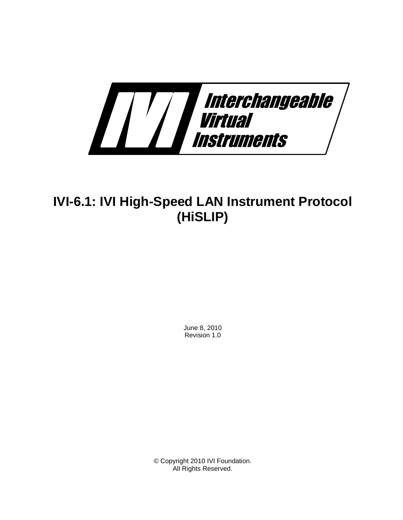

# **IVI-6.1: IVI High-Speed LAN Instrument Protocol (HiSLIP)**

June 8, 2010 Revision 1.0

© Copyright 2010 IVI Foundation. All Rights Reserved.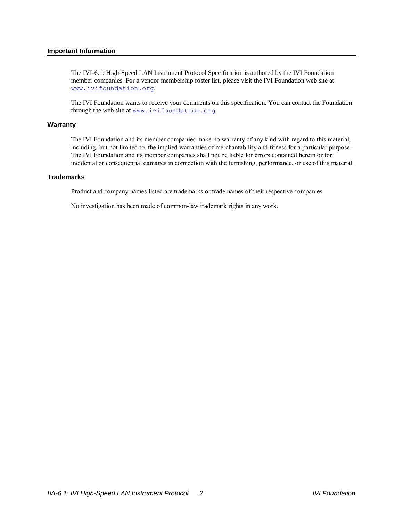#### **Important Information**

The IVI-6.1: High-Speed LAN Instrument Protocol Specification is authored by the IVI Foundation member companies. For a vendor membership roster list, please visit the IVI Foundation web site at [www.ivifoundation.org](http://www.ivifoundation.org/).

The IVI Foundation wants to receive your comments on this specification. You can contact the Foundation through the web site at [www.ivifoundation.org](http://www.ivifoundation.org/).

#### **Warranty**

The IVI Foundation and its member companies make no warranty of any kind with regard to this material, including, but not limited to, the implied warranties of merchantability and fitness for a particular purpose. The IVI Foundation and its member companies shall not be liable for errors contained herein or for incidental or consequential damages in connection with the furnishing, performance, or use of this material.

#### **Trademarks**

Product and company names listed are trademarks or trade names of their respective companies.

No investigation has been made of common-law trademark rights in any work.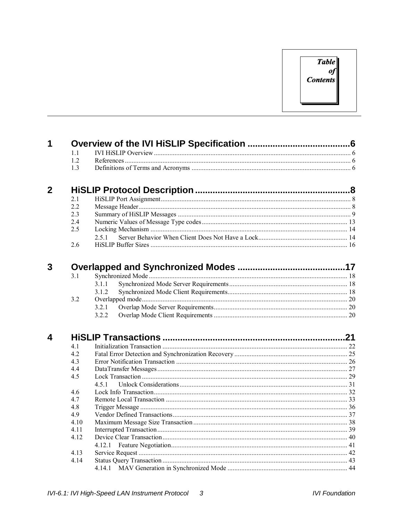## **Table**  $\boldsymbol{\theta}$ **Contents**

| 1              |                |       |  |
|----------------|----------------|-------|--|
|                | 1.1            |       |  |
|                | 12             |       |  |
|                | 1.3            |       |  |
| $\overline{2}$ |                |       |  |
|                | 2 <sub>1</sub> |       |  |
|                | 2.2            |       |  |
|                | 2.3            |       |  |
|                | 2.4            |       |  |
|                | 2.5            |       |  |
|                |                | 251   |  |
|                | 2.6            |       |  |
|                |                |       |  |
| 3              | 3.1            |       |  |
|                |                | 3.1.1 |  |
|                |                | 3.1.2 |  |
|                | 3.2            |       |  |
|                |                | 3.2.1 |  |
|                |                | 3.2.2 |  |
|                |                |       |  |
| 4              |                |       |  |
|                | 4.1            |       |  |
|                | 4.2            |       |  |
|                | 4.3            |       |  |
|                | 4.4            |       |  |
|                | 4.5            |       |  |
|                |                | 451   |  |
|                | 4.6            |       |  |
|                | 47             |       |  |
|                | 4.8            |       |  |
|                | 4.9            |       |  |
|                | 4.10           |       |  |
|                | 4.11           |       |  |
|                | 4.12           |       |  |
|                |                |       |  |
|                | 4.13           |       |  |
|                | 4.14           |       |  |
|                |                |       |  |
|                |                |       |  |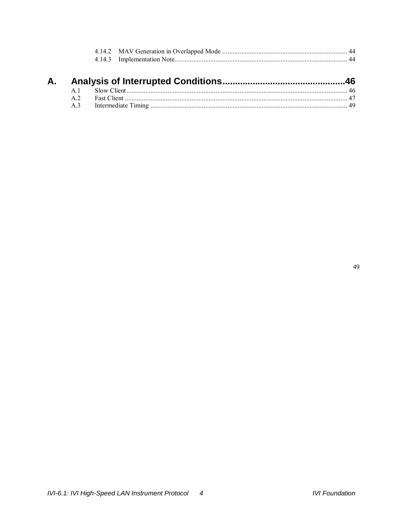**A.**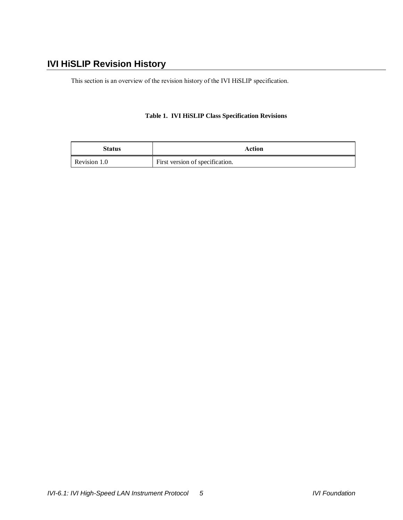## **IVI HiSLIP Revision History**

This section is an overview of the revision history of the IVI HiSLIP specification.

### **Table 1. IVI HiSLIP Class Specification Revisions**

| <b>Status</b> | Action                          |
|---------------|---------------------------------|
| Revision 1.0  | First version of specification. |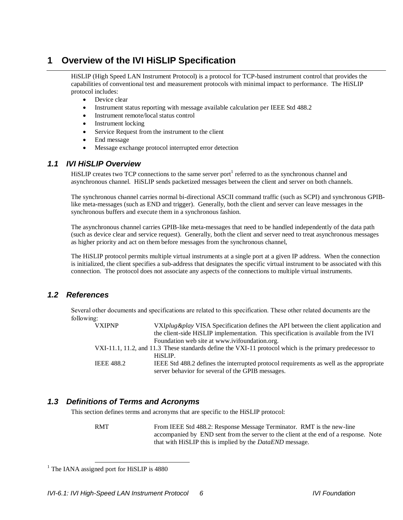## **1 Overview of the IVI HiSLIP Specification**

HiSLIP (High Speed LAN Instrument Protocol) is a protocol for TCP-based instrument control that provides the capabilities of conventional test and measurement protocols with minimal impact to performance. The HiSLIP protocol includes:

- Device clear
- Instrument status reporting with message available calculation per IEEE Std 488.2
- Instrument remote/local status control
- Instrument locking
- Service Request from the instrument to the client
- End message
- Message exchange protocol interrupted error detection

### *1.1 IVI HiSLIP Overview*

HiSLIP creates two TCP connections to the same server port<sup>1</sup> referred to as the synchronous channel and asynchronous channel. HiSLIP sends packetized messages between the client and server on both channels.

The synchronous channel carries normal bi-directional ASCII command traffic (such as SCPI) and synchronous GPIBlike meta-messages (such as END and trigger). Generally, both the client and server can leave messages in the synchronous buffers and execute them in a synchronous fashion.

The asynchronous channel carries GPIB-like meta-messages that need to be handled independently of the data path (such as device clear and service request). Generally, both the client and server need to treat asynchronous messages as higher priority and act on them before messages from the synchronous channel,

The HiSLIP protocol permits multiple virtual instruments at a single port at a given IP address. When the connection is initialized, the client specifies a sub-address that designates the specific virtual instrument to be associated with this connection. The protocol does not associate any aspects of the connections to multiple virtual instruments.

## <span id="page-5-0"></span>*1.2 References*

Several other documents and specifications are related to this specification. These other related documents are the following:

| <b>VXIPNP</b>     | VXIplug&play VISA Specification defines the API between the client application and                      |
|-------------------|---------------------------------------------------------------------------------------------------------|
|                   | the client-side HiSLIP implementation. This specification is available from the IVI                     |
|                   | Foundation web site at www.ivifoundation.org.                                                           |
|                   | VXI-11.1, 11.2, and 11.3 These standards define the VXI-11 protocol which is the primary predecessor to |
|                   | HiSLIP.                                                                                                 |
| <b>IEEE 488.2</b> | IEEE Std 488.2 defines the interrupted protocol requirements as well as the appropriate                 |
|                   | server behavior for several of the GPIB messages.                                                       |

## *1.3 Definitions of Terms and Acronyms*

This section defines terms and acronyms that are specific to the HiSLIP protocol:

RMT From IEEE Std 488.2: Response Message Terminator. RMT is the new-line accompanied by END sent from the server to the client at the end of a response. Note that with HiSLIP this is implied by the *DataEND* message.

<sup>&</sup>lt;sup>1</sup> The IANA assigned port for HiSLIP is 4880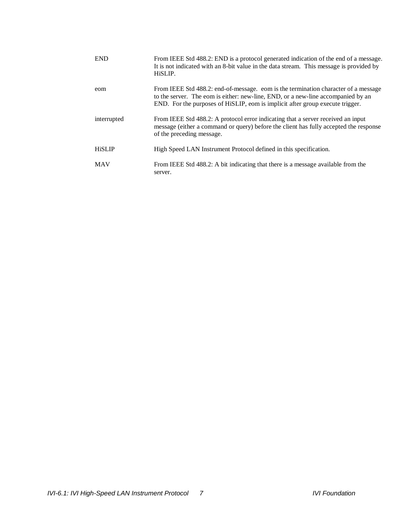| <b>END</b>    | From IEEE Std 488.2: END is a protocol generated indication of the end of a message.<br>It is not indicated with an 8-bit value in the data stream. This message is provided by<br>HiSLIP.                                                              |
|---------------|---------------------------------------------------------------------------------------------------------------------------------------------------------------------------------------------------------------------------------------------------------|
| eom           | From IEEE Std 488.2: end-of-message. eom is the termination character of a message<br>to the server. The eom is either: new-line, END, or a new-line accompanied by an<br>END. For the purposes of HiSLIP, eom is implicit after group execute trigger. |
| interrupted   | From IEEE Std 488.2: A protocol error indicating that a server received an input<br>message (either a command or query) before the client has fully accepted the response<br>of the preceding message.                                                  |
| <b>HiSLIP</b> | High Speed LAN Instrument Protocol defined in this specification.                                                                                                                                                                                       |
| <b>MAV</b>    | From IEEE Std 488.2: A bit indicating that there is a message available from the<br>server.                                                                                                                                                             |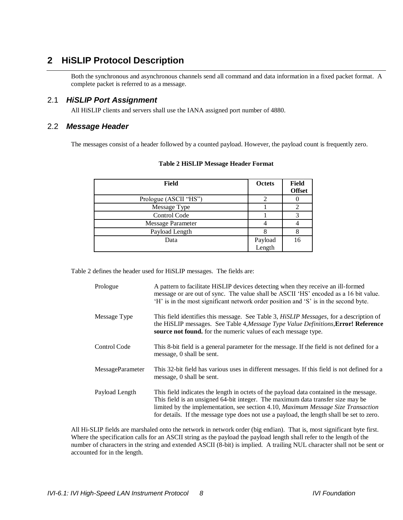## **2 HiSLIP Protocol Description**

Both the synchronous and asynchronous channels send all command and data information in a fixed packet format. A complete packet is referred to as a message.

### 2.1 *HiSLIP Port Assignment*

All HiSLIP clients and servers shall use the IANA assigned port number of 4880.

#### <span id="page-7-0"></span>2.2 *Message Header*

The messages consist of a header followed by a counted payload. However, the payload count is frequently zero.

| Field                    | Octets            | Field<br><b>Offset</b> |
|--------------------------|-------------------|------------------------|
| Prologue (ASCII "HS")    | 2                 |                        |
| Message Type             |                   |                        |
| Control Code             |                   |                        |
| <b>Message Parameter</b> |                   |                        |
| Payload Length           |                   |                        |
| Data                     | Payload<br>Length | 16                     |
|                          |                   |                        |

#### **Table 2 HiSLIP Message Header Format**

[Table 2](#page-7-0) defines the header used for HiSLIP messages. The fields are:

| Prologue         | A pattern to facilitate HiSLIP devices detecting when they receive an ill-formed<br>message or are out of sync. The value shall be ASCII 'HS' encoded as a 16 bit value.<br>'H' is in the most significant network order position and 'S' is in the second byte.                                                                                                    |
|------------------|---------------------------------------------------------------------------------------------------------------------------------------------------------------------------------------------------------------------------------------------------------------------------------------------------------------------------------------------------------------------|
| Message Type     | This field identifies this message. See Table 3, <i>HiSLIP Messages</i> , for a description of<br>the HiSLIP messages. See Table 4, Message Type Value Definitions, Error! Reference<br>source not found. for the numeric values of each message type.                                                                                                              |
| Control Code     | This 8-bit field is a general parameter for the message. If the field is not defined for a<br>message, 0 shall be sent.                                                                                                                                                                                                                                             |
| MessageParameter | This 32-bit field has various uses in different messages. If this field is not defined for a<br>message, 0 shall be sent.                                                                                                                                                                                                                                           |
| Payload Length   | This field indicates the length in octets of the payload data contained in the message.<br>This field is an unsigned 64-bit integer. The maximum data transfer size may be<br>limited by the implementation, see section 4.10, <i>Maximum Message Size Transaction</i><br>for details. If the message type does not use a payload, the length shall be set to zero. |

All Hi-SLIP fields are marshaled onto the network in network order (big endian). That is, most significant byte first. Where the specification calls for an ASCII string as the payload the payload length shall refer to the length of the number of characters in the string and extended ASCII (8-bit) is implied. A trailing NUL character shall not be sent or accounted for in the length.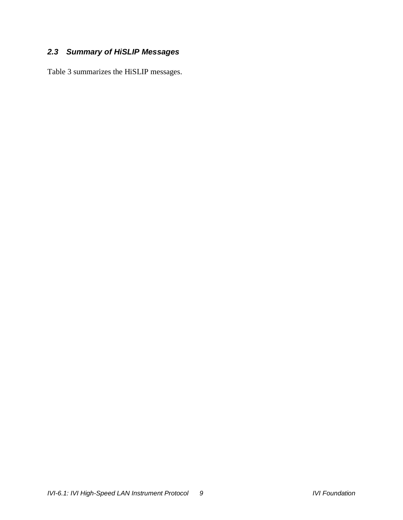## *2.3 Summary of HiSLIP Messages*

[Table 3](#page-9-0) summarizes the HiSLIP messages.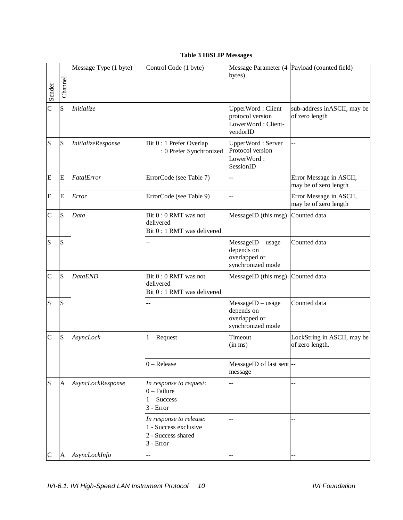## <span id="page-9-1"></span>**Table 3 HiSLIP Messages**

<span id="page-9-0"></span>

| Sender         | Channel      | Message Type (1 byte)     | Control Code (1 byte)                                                                 | bytes)                                                                  | Message Parameter (4 Payload (counted field)     |
|----------------|--------------|---------------------------|---------------------------------------------------------------------------------------|-------------------------------------------------------------------------|--------------------------------------------------|
| $\overline{C}$ | S            | Initialize                |                                                                                       | UpperWord: Client<br>protocol version<br>LowerWord: Client-<br>vendorID | sub-address in ASCII, may be<br>of zero length   |
| S              | S            | <i>InitializeResponse</i> | Bit 0 : 1 Prefer Overlap<br>: 0 Prefer Synchronized                                   | UpperWord: Server<br>Protocol version<br>LowerWord:<br>SessionID        | $-$                                              |
| ${\bf E}$      | E            | FatalError                | ErrorCode (see Table 7)                                                               | --                                                                      | Error Message in ASCII,<br>may be of zero length |
| E              | E            | Error                     | ErrorCode (see Table 9)                                                               | --                                                                      | Error Message in ASCII,<br>may be of zero length |
| $\mathsf{C}$   | S            | Data                      | Bit 0 : 0 RMT was not<br>delivered<br>Bit 0 : 1 RMT was delivered                     | MessageID (this msg)                                                    | Counted data                                     |
| S              | S            |                           |                                                                                       | $MessageID - usage$<br>depends on<br>overlapped or<br>synchronized mode | Counted data                                     |
| $\mathcal{C}$  | S            | <b>DataEND</b>            | Bit 0:0 RMT was not<br>delivered<br>Bit 0 : 1 RMT was delivered                       | MessageID (this msg)                                                    | Counted data                                     |
| S              | S            |                           |                                                                                       | $MessageID - usage$<br>depends on<br>overlapped or<br>synchronized mode | Counted data                                     |
| $\mathcal{C}$  | S            | AsyncLock                 | $1 -$ Request                                                                         | Timeout<br>$(in \, ms)$                                                 | LockString in ASCII, may be<br>of zero length.   |
|                |              |                           | $0 -$ Release                                                                         | MessageID of last sent --<br>message                                    |                                                  |
| S              | $\mathbf{A}$ | AsyncLockResponse         | In response to request:<br>$0$ – Failure<br>$1 - Success$<br>3 - Error                |                                                                         |                                                  |
|                |              |                           | In response to release:<br>1 - Success exclusive<br>2 - Success shared<br>$3 - Error$ |                                                                         |                                                  |
| $\mathsf{C}$   | A            | AsyncLockInfo             |                                                                                       |                                                                         |                                                  |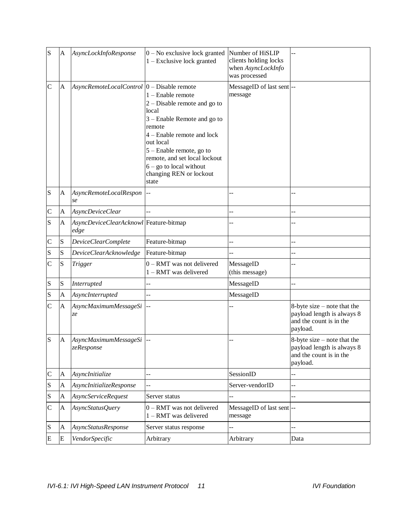| S              | A            | AsyncLockInfoResponse                          | $0$ – No exclusive lock granted<br>$1 -$ Exclusive lock granted                                                                                                                                                                                                                  | Number of HiSLIP<br>clients holding locks<br>when AsyncLockInfo<br>was processed |                                                                                                    |
|----------------|--------------|------------------------------------------------|----------------------------------------------------------------------------------------------------------------------------------------------------------------------------------------------------------------------------------------------------------------------------------|----------------------------------------------------------------------------------|----------------------------------------------------------------------------------------------------|
| $\mathbf C$    | A            | AsyncRemoteLocalControl  0 - Disable remote    | 1 - Enable remote<br>$2$ – Disable remote and go to<br>local<br>3 – Enable Remote and go to<br>remote<br>$4$ – Enable remote and lock<br>out local<br>5 - Enable remote, go to<br>remote, and set local lockout<br>$6 - go$ to local without<br>changing REN or lockout<br>state | MessageID of last sent --<br>message                                             |                                                                                                    |
| S              | A            | AsyncRemoteLocalRespon<br>se                   |                                                                                                                                                                                                                                                                                  |                                                                                  |                                                                                                    |
| $\mathsf{C}$   | A            | AsyncDeviceClear                               |                                                                                                                                                                                                                                                                                  |                                                                                  |                                                                                                    |
| S              | A            | AsyncDeviceClearAcknowl Feature-bitmap<br>edge |                                                                                                                                                                                                                                                                                  |                                                                                  |                                                                                                    |
| $\mathsf{C}$   | ${\bf S}$    | <b>DeviceClearComplete</b>                     | Feature-bitmap                                                                                                                                                                                                                                                                   |                                                                                  |                                                                                                    |
| S              | S            | <b>DeviceClearAcknowledge</b>                  | Feature-bitmap                                                                                                                                                                                                                                                                   |                                                                                  | --                                                                                                 |
| $\mathsf{C}$   | S            | <b>Trigger</b>                                 | 0 - RMT was not delivered<br>1 - RMT was delivered                                                                                                                                                                                                                               | MessageID<br>(this message)                                                      |                                                                                                    |
| S              | ${\bf S}$    | Interrupted                                    |                                                                                                                                                                                                                                                                                  | MessageID                                                                        |                                                                                                    |
| S              | A            | AsyncInterrupted                               |                                                                                                                                                                                                                                                                                  | MessageID                                                                        |                                                                                                    |
| $\overline{C}$ | A            | AsyncMaximumMessageSi<br>ze                    |                                                                                                                                                                                                                                                                                  |                                                                                  | 8-byte size $-$ note that the<br>payload length is always 8<br>and the count is in the<br>payload. |
| S              | $\mathbf{A}$ | AsyncMaximumMessageSi<br>zeResponse            |                                                                                                                                                                                                                                                                                  |                                                                                  | 8-byte size – note that the<br>payload length is always 8<br>and the count is in the<br>payload.   |
| $\mathsf{C}$   | A            | AsyncInitialize                                | L.                                                                                                                                                                                                                                                                               | SessionID                                                                        | $-$                                                                                                |
| S              | A            | AsyncInitializeResponse                        |                                                                                                                                                                                                                                                                                  | Server-vendorID                                                                  |                                                                                                    |
| S              | A            | <b>AsyncServiceRequest</b>                     | Server status                                                                                                                                                                                                                                                                    |                                                                                  |                                                                                                    |
| $\mathbf C$    | $\mathbf{A}$ | AsyncStatusQuery                               | 0 - RMT was not delivered<br>1 - RMT was delivered                                                                                                                                                                                                                               | MessageID of last sent-<br>message                                               |                                                                                                    |
| S              | A            | <b>AsyncStatusResponse</b>                     | Server status response                                                                                                                                                                                                                                                           |                                                                                  |                                                                                                    |
| E              | E            | VendorSpecific                                 | Arbitrary                                                                                                                                                                                                                                                                        | Arbitrary                                                                        | Data                                                                                               |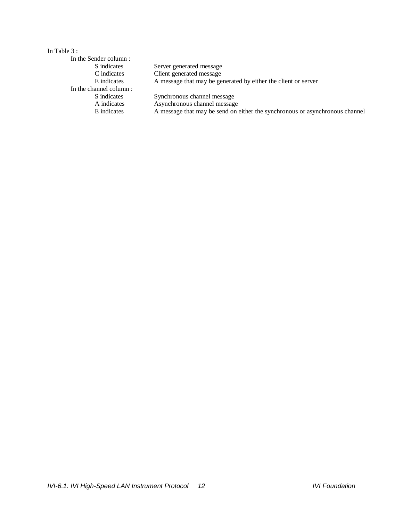#### In [Table 3](#page-9-0) :

| In the Sender column:  |                                                                              |
|------------------------|------------------------------------------------------------------------------|
| S indicates            | Server generated message                                                     |
| C indicates            | Client generated message                                                     |
| E indicates            | A message that may be generated by either the client or server               |
| In the channel column: |                                                                              |
| S indicates            | Synchronous channel message                                                  |
| A indicates            | Asynchronous channel message                                                 |
| E indicates            | A message that may be send on either the synchronous or asynchronous channel |
|                        |                                                                              |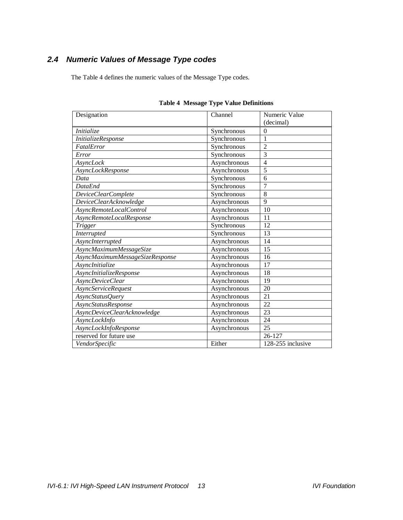## *2.4 Numeric Values of Message Type codes*

The [Table 4](#page-12-0) defines the numeric values of the Message Type codes.

<span id="page-12-0"></span>

| Designation                     | Channel      | Numeric Value     |
|---------------------------------|--------------|-------------------|
|                                 |              | (decimal)         |
| Initialize                      | Synchronous  | $\theta$          |
| InitializeResponse              | Synchronous  | 1                 |
| FatalError                      | Synchronous  | $\overline{2}$    |
| Error                           | Synchronous  | 3                 |
| AsyncLock                       | Asynchronous | $\overline{4}$    |
| AsyncLockResponse               | Asynchronous | 5                 |
| Data                            | Synchronous  | 6                 |
| <b>DataEnd</b>                  | Synchronous  | $\overline{7}$    |
| DeviceClearComplete             | Synchronous  | 8                 |
| DeviceClearAcknowledge          | Asynchronous | 9                 |
| AsyncRemoteLocalControl         | Asynchronous | 10                |
| AsyncRemoteLocalResponse        | Asynchronous | 11                |
| <b>Trigger</b>                  | Synchronous  | 12                |
| <b>Interrupted</b>              | Synchronous  | 13                |
| AsyncInterrupted                | Asynchronous | 14                |
| AsyncMaximumMessageSize         | Asynchronous | 15                |
| AsyncMaximumMessageSizeResponse | Asynchronous | 16                |
| AsyncInitialize                 | Asynchronous | 17                |
| AsyncInitializeResponse         | Asynchronous | 18                |
| AsyncDeviceClear                | Asynchronous | 19                |
| <b>AsyncServiceRequest</b>      | Asynchronous | 20                |
| AsyncStatusQuery                | Asynchronous | 21                |
| AsyncStatusResponse             | Asynchronous | 22                |
| AsyncDeviceClearAcknowledge     | Asynchronous | 23                |
| AsyncLockInfo                   | Asynchronous | 24                |
| AsyncLockInfoResponse           | Asynchronous | 25                |
| reserved for future use         |              | 26-127            |
| VendorSpecific                  | Either       | 128-255 inclusive |

### <span id="page-12-1"></span>**Table 4 Message Type Value Definitions**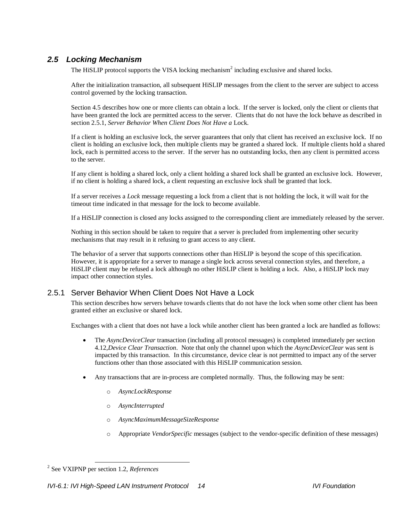## *2.5 Locking Mechanism*

The HiSLIP protocol supports the VISA locking mechanism<sup>2</sup> including exclusive and shared locks.

After the initialization transaction, all subsequent HiSLIP messages from the client to the server are subject to access control governed by the locking transaction.

Section [4.5](#page-28-0) describes how one or more clients can obtain a lock. If the server is locked, only the client or clients that have been granted the lock are permitted access to the server. Clients that do not have the lock behave as described in section [2.5.1,](#page-13-0) *[Server Behavior When Client Does Not Have a](#page-13-0)* Lock.

If a client is holding an exclusive lock, the server guarantees that only that client has received an exclusive lock. If no client is holding an exclusive lock, then multiple clients may be granted a shared lock. If multiple clients hold a shared lock, each is permitted access to the server. If the server has no outstanding locks, then any client is permitted access to the server.

If any client is holding a shared lock, only a client holding a shared lock shall be granted an exclusive lock. However, if no client is holding a shared lock, a client requesting an exclusive lock shall be granted that lock.

If a server receives a *Lock* message requesting a lock from a client that is not holding the lock, it will wait for the timeout time indicated in that message for the lock to become available.

If a HiSLIP connection is closed any locks assigned to the corresponding client are immediately released by the server.

Nothing in this section should be taken to require that a server is precluded from implementing other security mechanisms that may result in it refusing to grant access to any client.

The behavior of a server that supports connections other than HiSLIP is beyond the scope of this specification. However, it is appropriate for a server to manage a single lock across several connection styles, and therefore, a HiSLIP client may be refused a lock although no other HiSLIP client is holding a lock. Also, a HiSLIP lock may impact other connection styles.

### <span id="page-13-0"></span>2.5.1 Server Behavior When Client Does Not Have a Lock

This section describes how servers behave towards clients that do not have the lock when some other client has been granted either an exclusive or shared lock.

Exchanges with a client that does not have a lock while another client has been granted a lock are handled as follows:

- The *AsyncDeviceClear* transaction (including all protocol messages) is completed immediately per section [4.12,](#page-39-0)*[Device Clear Transaction](#page-39-0)*. Note that only the channel upon which the *AsyncDeviceClear* was sent is impacted by this transaction. In this circumstance, device clear is not permitted to impact any of the server functions other than those associated with this HiSLIP communication session.
- Any transactions that are in-process are completed normally. Thus, the following may be sent:
	- o *AsyncLockResponse*
	- o *AsyncInterrupted*
	- o *AsyncMaximumMessageSizeResponse*
	- o Appropriate *VendorSpecific* messages (subject to the vendor-specific definition of these messages)

<sup>2</sup> See VXIPNP per section [1.2,](#page-5-0) *[References](#page-5-0)*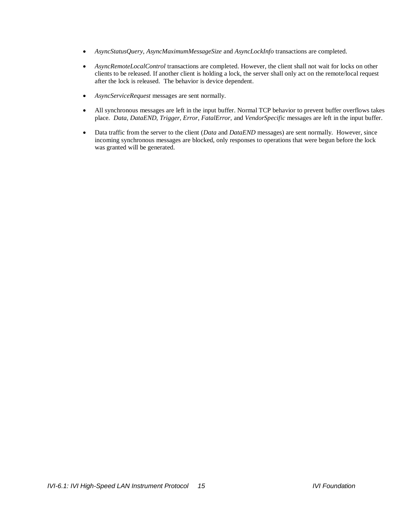- *AsyncStatusQuery, AsyncMaximumMessageSize* and *AsyncLockInfo* transactions are completed.
- *AsyncRemoteLocalControl* transactions are completed. However, the client shall not wait for locks on other clients to be released. If another client is holding a lock, the server shall only act on the remote/local request after the lock is released. The behavior is device dependent.
- *AsyncServiceRequest* messages are sent normally.
- All synchronous messages are left in the input buffer. Normal TCP behavior to prevent buffer overflows takes place. *Data, DataEND, Trigger, Error, FatalError,* and *VendorSpecific* messages are left in the input buffer.
- Data traffic from the server to the client (*Data* and *DataEND* messages) are sent normally. However, since incoming synchronous messages are blocked, only responses to operations that were begun before the lock was granted will be generated.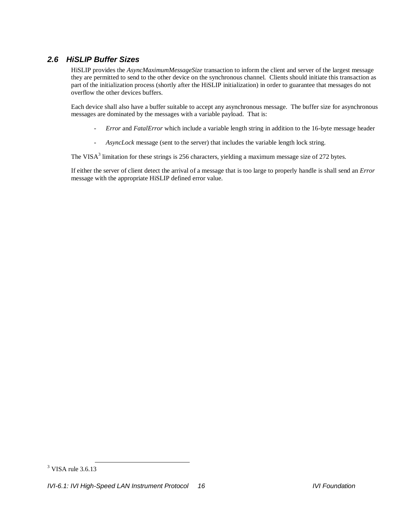## *2.6 HiSLIP Buffer Sizes*

HiSLIP provides the *AsyncMaximumMessageSize* transaction to inform the client and server of the largest message they are permitted to send to the other device on the synchronous channel. Clients should initiate this transaction as part of the initialization process (shortly after the HiSLIP initialization) in order to guarantee that messages do not overflow the other devices buffers.

Each device shall also have a buffer suitable to accept any asynchronous message. The buffer size for asynchronous messages are dominated by the messages with a variable payload. That is:

- *- Error* and *FatalError* which include a variable length string in addition to the 16-byte message header
- *- AsyncLock* message (sent to the server) that includes the variable length lock string.

The VISA<sup>3</sup> limitation for these strings is 256 characters, yielding a maximum message size of 272 bytes.

If either the server of client detect the arrival of a message that is too large to properly handle is shall send an *Error* message with the appropriate HiSLIP defined error value.

 $3$  VISA rule 3.6.13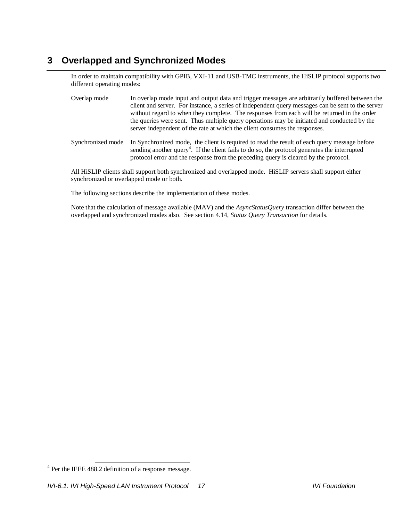## <span id="page-16-0"></span>**3 Overlapped and Synchronized Modes**

In order to maintain compatibility with GPIB, VXI-11 and USB-TMC instruments, the HiSLIP protocol supports two different operating modes:

- Overlap mode In overlap mode input and output data and trigger messages are arbitrarily buffered between the client and server. For instance, a series of independent query messages can be sent to the server without regard to when they complete. The responses from each will be returned in the order the queries were sent. Thus multiple query operations may be initiated and conducted by the server independent of the rate at which the client consumes the responses.
- Synchronized mode In Synchronized mode, the client is required to read the result of each query message before sending another query<sup>4</sup>. If the client fails to do so, the protocol generates the interrupted protocol error and the response from the preceding query is cleared by the protocol.

All HiSLIP clients shall support both synchronized and overlapped mode. HiSLIP servers shall support either synchronized or overlapped mode or both.

The following sections describe the implementation of these modes.

Note that the calculation of message available (MAV) and the *AsyncStatusQuery* transaction differ between the overlapped and synchronized modes also. See sectio[n 4.14,](#page-42-0) *[Status Query Transaction](#page-42-0)* for details.

<sup>&</sup>lt;sup>4</sup> Per the IEEE 488.2 definition of a response message.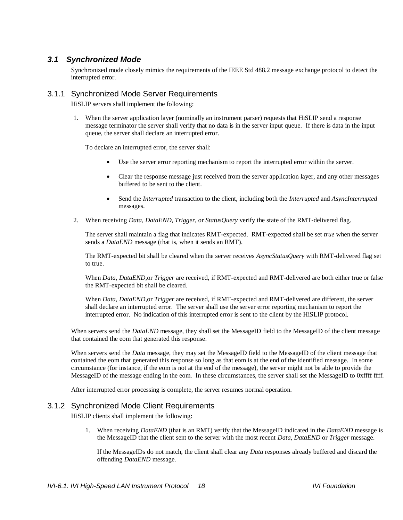### *3.1 Synchronized Mode*

Synchronized mode closely mimics the requirements of the IEEE Std 488.2 message exchange protocol to detect the interrupted error.

#### <span id="page-17-4"></span><span id="page-17-2"></span>3.1.1 Synchronized Mode Server Requirements

HiSLIP servers shall implement the following:

1. When the server application layer (nominally an instrument parser) requests that HiSLIP send a response message terminator the server shall verify that no data is in the server input queue. If there is data in the input queue, the server shall declare an interrupted error.

To declare an interrupted error, the server shall:

- Use the server error reporting mechanism to report the interrupted error within the server.
- Clear the response message just received from the server application layer, and any other messages buffered to be sent to the client.
- Send the *Interrupted* transaction to the client, including both the *Interrupted* and *AsyncInterrupted* messages.
- <span id="page-17-3"></span>2. When receiving *Data, DataEND, Trigger,* or *StatusQuery* verify the state of the RMT-delivered flag.

The server shall maintain a flag that indicates RMT-expected. RMT-expected shall be set *true* when the server sends a *DataEND* message (that is, when it sends an RMT).

The RMT-expected bit shall be cleared when the server receives *AsyncStatusQuery* with RMT-delivered flag set to true.

When *Data, DataEND,*or *Trigger* are received, if RMT-expected and RMT-delivered are both either true or false the RMT-expected bit shall be cleared.

When *Data, DataEND,*or *Trigger* are received, if RMT-expected and RMT-delivered are different, the server shall declare an interrupted error. The server shall use the server error reporting mechanism to report the interrupted error. No indication of this interrupted error is sent to the client by the HiSLIP protocol.

When servers send the *DataEND* message, they shall set the MessageID field to the MessageID of the client message that contained the eom that generated this response.

When servers send the *Data* message, they may set the MessageID field to the MessageID of the client message that contained the eom that generated this response so long as that eom is at the end of the identified message. In some circumstance (for instance, if the eom is not at the end of the message), the server might not be able to provide the MessageID of the message ending in the eom. In these circumstances, the server shall set the MessageID to 0xffff ffff.

After interrupted error processing is complete, the server resumes normal operation.

#### <span id="page-17-1"></span><span id="page-17-0"></span>3.1.2 Synchronized Mode Client Requirements

HiSLIP clients shall implement the following:

1. When receiving *DataEND* (that is an RMT) verify that the MessageID indicated in the *DataEND* message is the MessageID that the client sent to the server with the most recent *Data, DataEND* or *Trigger* message.

If the MessageIDs do not match, the client shall clear any *Data* responses already buffered and discard the offending *DataEND* message.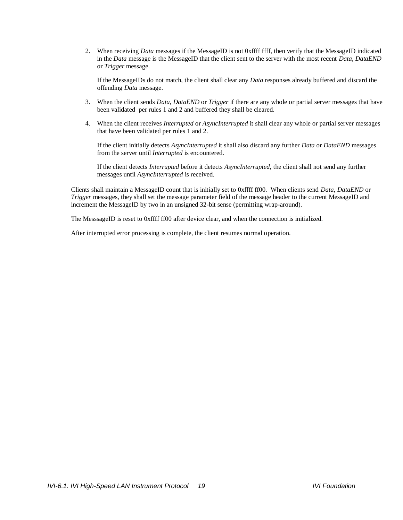<span id="page-18-0"></span>2. When receiving *Data* messages if the MessageID is not 0xffff ffff, then verify that the MessageID indicated in the *Data* message is the MessageID that the client sent to the server with the most recent *Data, DataEND*  or *Trigger* message.

If the MessageIDs do not match, the client shall clear any *Data* responses already buffered and discard the offending *Data* message.

- <span id="page-18-1"></span>3. When the client sends *Data, DataEND* or *Trigger* if there are any whole or partial server messages that have been validated per rules [1](#page-17-0) and [2](#page-18-0) and buffered they shall be cleared.
- 4. When the client receives *Interrupted* or *AsyncInterrupted* it shall clear any whole or partial server messages that have been validated per rules [1](#page-17-0) an[d 2.](#page-18-0)

If the client initially detects *AsyncInterrupted* it shall also discard any further *Data* or *DataEND* messages from the server until *Interrupted* is encountered.

If the client detects *Interrupted* before it detects *AsyncInterrupted,* the client shall not send any further messages until *AsyncInterrupted* is received.

Clients shall maintain a MessageID count that is initially set to 0xffff ff00. When clients send *Data, DataEND* or *Trigger* messages, they shall set the message parameter field of the message header to the current MessageID and increment the MessageID by two in an unsigned 32-bit sense (permitting wrap-around).

The MesssageID is reset to 0xffff ff00 after device clear, and when the connection is initialized.

After interrupted error processing is complete, the client resumes normal operation.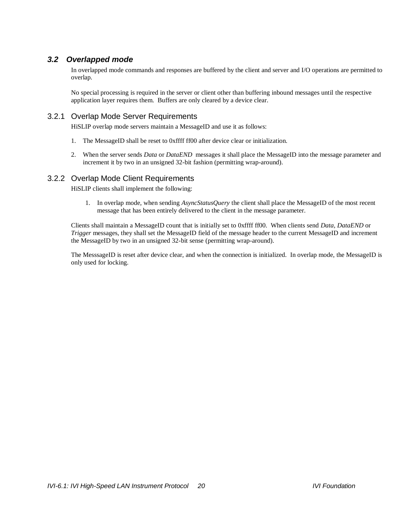## *3.2 Overlapped mode*

In overlapped mode commands and responses are buffered by the client and server and I/O operations are permitted to overlap.

No special processing is required in the server or client other than buffering inbound messages until the respective application layer requires them. Buffers are only cleared by a device clear.

### <span id="page-19-1"></span>3.2.1 Overlap Mode Server Requirements

HiSLIP overlap mode servers maintain a MessageID and use it as follows:

- 1. The MessageID shall be reset to 0xffff ff00 after device clear or initialization.
- 2. When the server sends *Data* or *DataEND* messages it shall place the MessageID into the message parameter and increment it by two in an unsigned 32-bit fashion (permitting wrap-around).

#### <span id="page-19-0"></span>3.2.2 Overlap Mode Client Requirements

HiSLIP clients shall implement the following:

1. In overlap mode, when sending *AsyncStatusQuery* the client shall place the MessageID of the most recent message that has been entirely delivered to the client in the message parameter.

Clients shall maintain a MessageID count that is initially set to 0xffff ff00. When clients send *Data, DataEND* or *Trigger* messages, they shall set the MessageID field of the message header to the current MessageID and increment the MessageID by two in an unsigned 32-bit sense (permitting wrap-around).

The MesssageID is reset after device clear, and when the connection is initialized. In overlap mode, the MessageID is only used for locking.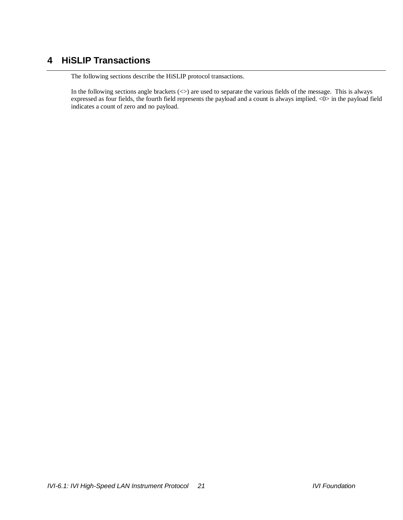## **4 HiSLIP Transactions**

The following sections describe the HiSLIP protocol transactions.

In the following sections angle brackets  $(\le)$  are used to separate the various fields of the message. This is always expressed as four fields, the fourth field represents the payload and a count is always implied. <0> in the payload field indicates a count of zero and no payload.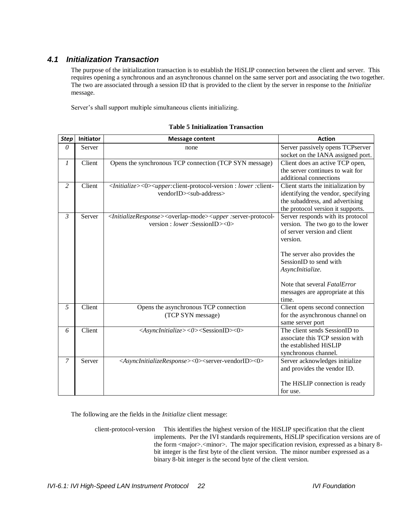## <span id="page-21-0"></span>*4.1 Initialization Transaction*

The purpose of the initialization transaction is to establish the HiSLIP connection between the client and server. This requires opening a synchronous and an asynchronous channel on the same server port and associating the two together. The two are associated through a session ID that is provided to the client by the server in response to the *Initialize* message.

Server's shall support multiple simultaneous clients initializing.

| <b>Step</b>    | Initiator | <b>Message content</b>                                                                                                                                                         | <b>Action</b>                       |
|----------------|-----------|--------------------------------------------------------------------------------------------------------------------------------------------------------------------------------|-------------------------------------|
| $\theta$       | Server    | none                                                                                                                                                                           | Server passively opens TCPserver    |
|                |           |                                                                                                                                                                                | socket on the IANA assigned port.   |
| $\mathfrak{1}$ | Client    | Opens the synchronous TCP connection (TCP SYN message)                                                                                                                         | Client does an active TCP open,     |
|                |           |                                                                                                                                                                                | the server continues to wait for    |
|                |           |                                                                                                                                                                                | additional connections              |
| 2              | Client    | <initialize>&lt;0&gt;<upper:client-protocol-version :="" :client-<="" lower="" td=""><td>Client starts the initialization by</td></upper:client-protocol-version></initialize> | Client starts the initialization by |
|                |           | vendorID> <sub-address></sub-address>                                                                                                                                          | identifying the vendor, specifying  |
|                |           |                                                                                                                                                                                | the subaddress, and advertising     |
|                |           |                                                                                                                                                                                | the protocol version it supports.   |
| 3              | Server    | <initializeresponse><overlap-mode><upper :server-protocol-<="" td=""><td>Server responds with its protocol</td></upper></overlap-mode></initializeresponse>                    | Server responds with its protocol   |
|                |           | version : lower : SessionID><0>                                                                                                                                                | version. The two go to the lower    |
|                |           |                                                                                                                                                                                | of server version and client        |
|                |           |                                                                                                                                                                                | version.                            |
|                |           |                                                                                                                                                                                |                                     |
|                |           |                                                                                                                                                                                | The server also provides the        |
|                |           |                                                                                                                                                                                | SessionID to send with              |
|                |           |                                                                                                                                                                                | AsyncInitialize.                    |
|                |           |                                                                                                                                                                                |                                     |
|                |           |                                                                                                                                                                                | Note that several FatalError        |
|                |           |                                                                                                                                                                                | messages are appropriate at this    |
|                |           |                                                                                                                                                                                | time.                               |
| 5              | Client    | Opens the asynchronous TCP connection                                                                                                                                          | Client opens second connection      |
|                |           | (TCP SYN message)                                                                                                                                                              | for the asynchronous channel on     |
|                |           |                                                                                                                                                                                | same server port                    |
| 6              | Client    | <asyncinitialize>&lt;0&gt;<sessionid>&lt;0&gt;</sessionid></asyncinitialize>                                                                                                   | The client sends SessionID to       |
|                |           |                                                                                                                                                                                | associate this TCP session with     |
|                |           |                                                                                                                                                                                | the established HiSLIP              |
|                |           |                                                                                                                                                                                | synchronous channel.                |
| 7              | Server    | <asyncinitializeresponse>&lt;0&gt;<server-vendorid>&lt;0&gt;</server-vendorid></asyncinitializeresponse>                                                                       | Server acknowledges initialize      |
|                |           |                                                                                                                                                                                | and provides the vendor ID.         |
|                |           |                                                                                                                                                                                |                                     |
|                |           |                                                                                                                                                                                | The HiSLIP connection is ready      |
|                |           |                                                                                                                                                                                | for use.                            |

#### **Table 5 Initialization Transaction**

The following are the fields in the *Initialize* client message:

client-protocol-version This identifies the highest version of the HiSLIP specification that the client implements. Per the IVI standards requirements, HiSLIP specification versions are of the form <major>.<minor>. The major specification revision, expressed as a binary 8bit integer is the first byte of the client version. The minor number expressed as a binary 8-bit integer is the second byte of the client version.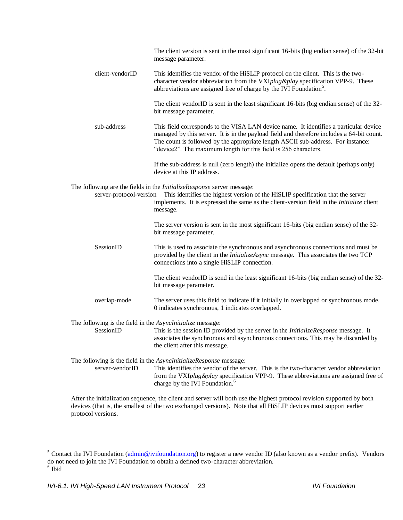|                                                                         | The client version is sent in the most significant 16-bits (big endian sense) of the 32-bit<br>message parameter.                                                                                                                                                                                                                         |
|-------------------------------------------------------------------------|-------------------------------------------------------------------------------------------------------------------------------------------------------------------------------------------------------------------------------------------------------------------------------------------------------------------------------------------|
| client-vendorID                                                         | This identifies the vendor of the HiSLIP protocol on the client. This is the two-<br>character vendor abbreviation from the VXIplug &play specification VPP-9. These<br>abbreviations are assigned free of charge by the IVI Foundation <sup>5</sup> .                                                                                    |
|                                                                         | The client vendorID is sent in the least significant 16-bits (big endian sense) of the 32-<br>bit message parameter.                                                                                                                                                                                                                      |
| sub-address                                                             | This field corresponds to the VISA LAN device name. It identifies a particular device<br>managed by this server. It is in the payload field and therefore includes a 64-bit count.<br>The count is followed by the appropriate length ASCII sub-address. For instance:<br>"device2". The maximum length for this field is 256 characters. |
|                                                                         | If the sub-address is null (zero length) the initialize opens the default (perhaps only)<br>device at this IP address.                                                                                                                                                                                                                    |
| server-protocol-version                                                 | The following are the fields in the <i>InitializeResponse</i> server message:<br>This identifies the highest version of the HiSLIP specification that the server<br>implements. It is expressed the same as the client-version field in the <i>Initialize</i> client<br>message.                                                          |
|                                                                         | The server version is sent in the most significant 16-bits (big endian sense) of the 32-<br>bit message parameter.                                                                                                                                                                                                                        |
| SessionID                                                               | This is used to associate the synchronous and asynchronous connections and must be<br>provided by the client in the <i>InitializeAsync</i> message. This associates the two TCP<br>connections into a single HiSLIP connection.                                                                                                           |
|                                                                         | The client vendorID is send in the least significant 16-bits (big endian sense) of the 32-<br>bit message parameter.                                                                                                                                                                                                                      |
| overlap-mode                                                            | The server uses this field to indicate if it initially in overlapped or synchronous mode.<br>0 indicates synchronous, 1 indicates overlapped.                                                                                                                                                                                             |
| The following is the field in the AsyncInitialize message:<br>SessionID | This is the session ID provided by the server in the InitializeResponse message. It<br>associates the synchronous and asynchronous connections. This may be discarded by<br>the client after this message.                                                                                                                                |
| server-vendorID                                                         | The following is the field in the <i>AsyncInitializeResponse</i> message:<br>This identifies the vendor of the server. This is the two-character vendor abbreviation<br>from the VXIplug&play specification VPP-9. These abbreviations are assigned free of<br>charge by the IVI Foundation. <sup>6</sup>                                 |

After the initialization sequence, the client and server will both use the highest protocol revision supported by both devices (that is, the smallest of the two exchanged versions). Note that all HiSLIP devices must support earlier protocol versions.

 $\overline{\phantom{a}}$ 

<sup>&</sup>lt;sup>5</sup> Contact the IVI Foundation ( $\underline{admin@ivifoundation.org}$ ) to register a new vendor ID (also known as a vendor prefix). Vendors do not need to join the IVI Foundation to obtain a defined two-character abbreviation. 6 Ibid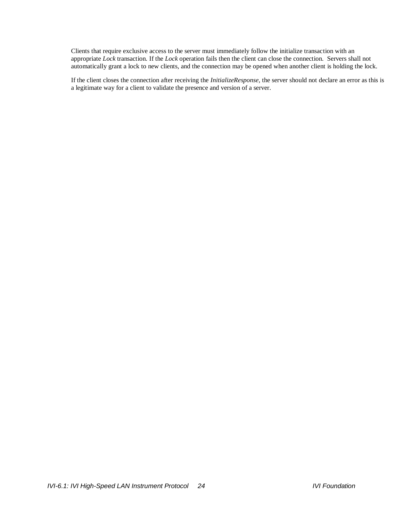Clients that require exclusive access to the server must immediately follow the initialize transaction with an appropriate *Lock* transaction. If the *Lock* operation fails then the client can close the connection. Servers shall not automatically grant a lock to new clients, and the connection may be opened when another client is holding the lock.

If the client closes the connection after receiving the *InitializeResponse*, the server should not declare an error as this is a legitimate way for a client to validate the presence and version of a server.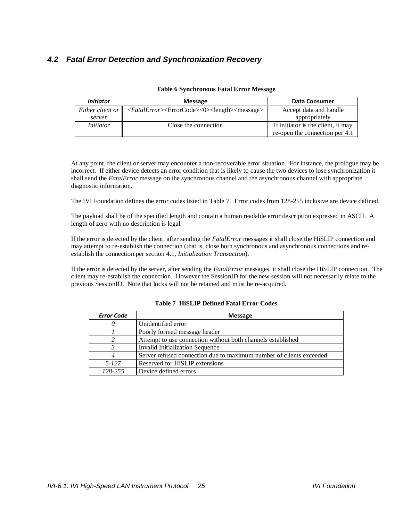## *4.2 Fatal Error Detection and Synchronization Recovery*

| <b>Initiator</b> | <b>Message</b>                                                                                                                    | Data Consumer                      |
|------------------|-----------------------------------------------------------------------------------------------------------------------------------|------------------------------------|
| Either client or | $\langle \text{FatalError} \rangle \langle \text{ErrorCode} \rangle \langle \text{length} \rangle \langle \text{message} \rangle$ | Accept data and handle             |
| server           |                                                                                                                                   | appropriately                      |
| <i>Initiator</i> | Close the connection                                                                                                              | If initiator is the client, it may |
|                  |                                                                                                                                   | re-open the connection per 4.1     |

#### **Table 6 Synchronous Fatal Error Message**

At any point, the client or server may encounter a non-recoverable error situation. For instance, the prologue may be incorrect. If either device detects an error condition that is likely to cause the two devices to lose synchronization it shall send the *FatalError* message on the synchronous channel and the asynchronous channel with appropriate diagnostic information.

The IVI Foundation defines the error codes listed in [Table 7.](#page-24-0) Error codes from 128-255 inclusive are device defined.

The payload shall be of the specified length and contain a human readable error description expressed in ASCII. A length of zero with no description is legal.

If the error is detected by the client, after sending the *FatalError* messages it shall close the HiSLIP connection and may attempt to re-establish the connection (that is, close both synchronous and asynchronous connections and reestablish the connection per sectio[n 4.1,](#page-21-0) *[Initialization Transaction](#page-21-0)*).

<span id="page-24-0"></span>If the error is detected by the server, after sending the *FatalError* messages, it shall close the HiSLIP connection. The client may re-establish the connection. However the SessionID for the new session will not necessarily relate to the previous SessionID. Note that locks will not be retained and must be re-acquired.

| <b>Error Code</b> | <b>Message</b>                                                      |
|-------------------|---------------------------------------------------------------------|
|                   | Unidentified error                                                  |
|                   | Poorly formed message header                                        |
|                   | Attempt to use connection without both channels established         |
|                   | Invalid Initialization Sequence                                     |
|                   | Server refused connection due to maximum number of clients exceeded |
| 5-127             | Reserved for HiSLIP extensions                                      |
| 128-255           | Device defined errors                                               |

#### **Table 7 HiSLIP Defined Fatal Error Codes**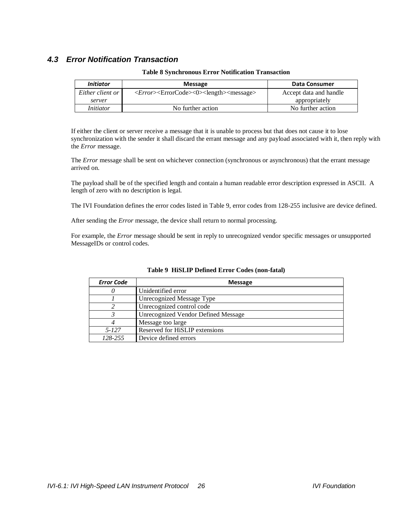## *4.3 Error Notification Transaction*

| <i>Initiator</i> | <b>Message</b>                                                                        | <b>Data Consumer</b>   |
|------------------|---------------------------------------------------------------------------------------|------------------------|
| Either client or | < <i>Error</i> > <errorcode>&lt;0&gt;<length><message></message></length></errorcode> | Accept data and handle |
| server           |                                                                                       | appropriately          |
| <i>Initiator</i> | No further action                                                                     | No further action      |

#### **Table 8 Synchronous Error Notification Transaction**

If either the client or server receive a message that it is unable to process but that does not cause it to lose synchronization with the sender it shall discard the errant message and any payload associated with it, then reply with the *Error* message.

The *Error* message shall be sent on whichever connection (synchronous or asynchronous) that the errant message arrived on.

The payload shall be of the specified length and contain a human readable error description expressed in ASCII. A length of zero with no description is legal.

The IVI Foundation defines the error codes listed in [Table 9,](#page-25-0) error codes from 128-255 inclusive are device defined.

After sending the *Error* message, the device shall return to normal processing.

<span id="page-25-0"></span>For example, the *Error* message should be sent in reply to unrecognized vendor specific messages or unsupported MessageIDs or control codes.

| <b>Error Code</b> | <b>Message</b>                      |
|-------------------|-------------------------------------|
|                   | Unidentified error                  |
|                   | Unrecognized Message Type           |
|                   | Unrecognized control code           |
|                   | Unrecognized Vendor Defined Message |
|                   | Message too large                   |
| $5 - 127$         | Reserved for HiSLIP extensions      |
| 128-255           | Device defined errors               |

#### **Table 9 HiSLIP Defined Error Codes (non-fatal)**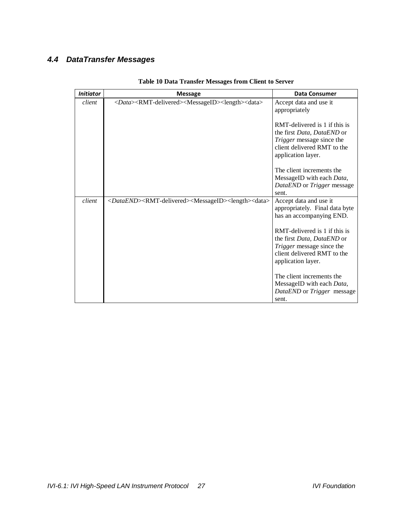## *4.4 DataTransfer Messages*

| <b>Initiator</b> | <b>Message</b>                                                                                          | <b>Data Consumer</b>                                                                                                                                 |
|------------------|---------------------------------------------------------------------------------------------------------|------------------------------------------------------------------------------------------------------------------------------------------------------|
| client           | <data><rmt-delivered><messageid><length><data></data></length></messageid></rmt-delivered></data>       | Accept data and use it<br>appropriately                                                                                                              |
|                  |                                                                                                         | RMT-delivered is 1 if this is<br>the first Data, DataEND or<br><i>Trigger</i> message since the<br>client delivered RMT to the<br>application layer. |
|                  |                                                                                                         | The client increments the                                                                                                                            |
|                  |                                                                                                         | MessageID with each Data,<br>DataEND or Trigger message<br>sent.                                                                                     |
| client           | <dataend><rmt-delivered><messageid><length><data></data></length></messageid></rmt-delivered></dataend> | Accept data and use it<br>appropriately. Final data byte<br>has an accompanying END.                                                                 |
|                  |                                                                                                         | RMT-delivered is 1 if this is<br>the first Data, DataEND or<br>Trigger message since the<br>client delivered RMT to the<br>application layer.        |
|                  |                                                                                                         | The client increments the<br>MessageID with each Data,<br>DataEND or Trigger message<br>sent.                                                        |

## **Table 10 Data Transfer Messages from Client to Server**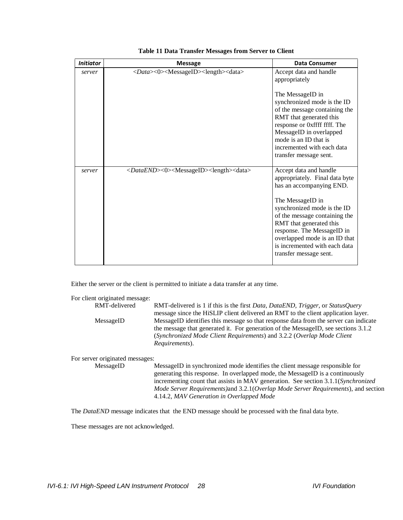| <b>Initiator</b> | <b>Message</b>                                                                    | <b>Data Consumer</b>                                                                                                                                                                                                                                    |
|------------------|-----------------------------------------------------------------------------------|---------------------------------------------------------------------------------------------------------------------------------------------------------------------------------------------------------------------------------------------------------|
| server           | <data>&lt;0&gt;<messageid><length><data></data></length></messageid></data>       | Accept data and handle<br>appropriately                                                                                                                                                                                                                 |
|                  |                                                                                   | The MessageID in<br>synchronized mode is the ID<br>of the message containing the<br>RMT that generated this<br>response or 0xffff ffff. The<br>MessageID in overlapped<br>mode is an ID that is<br>incremented with each data<br>transfer message sent. |
| server           | <dataend>&lt;0&gt;<messageid><length><data></data></length></messageid></dataend> | Accept data and handle<br>appropriately. Final data byte<br>has an accompanying END.                                                                                                                                                                    |
|                  |                                                                                   | The MessageID in<br>synchronized mode is the ID<br>of the message containing the<br>RMT that generated this<br>response. The MessageID in<br>overlapped mode is an ID that<br>is incremented with each data<br>transfer message sent.                   |

#### **Table 11 Data Transfer Messages from Server to Client**

Either the server or the client is permitted to initiate a data transfer at any time.

| For client originated message:  |                                                                                                                                                                                                                                                                         |
|---------------------------------|-------------------------------------------------------------------------------------------------------------------------------------------------------------------------------------------------------------------------------------------------------------------------|
| RMT-delivered                   | RMT-delivered is 1 if this is the first Data, DataEND, Trigger, or StatusQuery<br>message since the HiSLIP client delivered an RMT to the client application layer.                                                                                                     |
| MessageID                       | MessageID identifies this message so that response data from the server can indicate<br>the message that generated it. For generation of the MessageID, see sections 3.1.2<br>(Synchronized Mode Client Requirements) and 3.2.2 (Overlap Mode Client)<br>Requirements). |
| For server originated messages: |                                                                                                                                                                                                                                                                         |
| MessageID                       | MessageID in synchronized mode identifies the client message responsible for<br>representing this proposes. The coordinated productive Measure ID is a coordinate of                                                                                                    |

generating this response. In overlapped mode, the MessageID is a continuously incrementing count that assists in MAV generation. See section [3.1.1\(](#page-17-2)*[Synchronized](#page-17-2)  [Mode Server Requirements\)](#page-17-2)*and [3.2.1\(](#page-19-1)*[Overlap Mode Server Requirements](#page-19-1)*), and section [4.14.2,](#page-43-0) *[MAV Generation in Overlapped Mode](#page-43-0)*

The *DataEND* message indicates that the END message should be processed with the final data byte.

These messages are not acknowledged.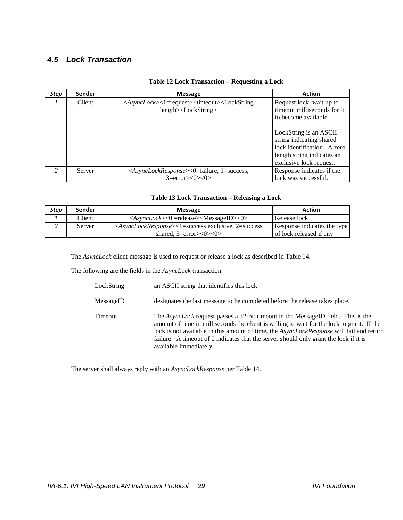## <span id="page-28-0"></span>*4.5 Lock Transaction*

| Step           | <b>Sender</b> | <b>Message</b>                                                                                                                                          | <b>Action</b>                                                                                                                                                                                                                  |
|----------------|---------------|---------------------------------------------------------------------------------------------------------------------------------------------------------|--------------------------------------------------------------------------------------------------------------------------------------------------------------------------------------------------------------------------------|
|                | Client        | <asynclock>&lt;1=request&gt;<timeout><lockstring<br><math>length</math> <math>\geq</math> <math>LockString</math></lockstring<br></timeout></asynclock> | Request lock, wait up to<br>timeout milliseconds for it.<br>to become available.<br>LockString is an ASCII<br>string indicating shared<br>lock identification. A zero<br>length string indicates an<br>exclusive lock request. |
| $\mathfrak{D}$ | Server        | <asynclockresponse>&lt;0=failure, 1=success,</asynclockresponse>                                                                                        | Response indicates if the                                                                                                                                                                                                      |
|                |               | $3=error><0><0>$                                                                                                                                        | lock was successful.                                                                                                                                                                                                           |

#### **Table 12 Lock Transaction – Requesting a Lock**

#### **Table 13 Lock Transaction – Releasing a Lock**

| <b>Step</b> | Sender | <b>Message</b>                                                                                      | <b>Action</b>               |
|-------------|--------|-----------------------------------------------------------------------------------------------------|-----------------------------|
|             | Client | $\langle AsyncLock \rangle \langle 0 = release \rangle \langle MessageID \rangle \langle 0 \rangle$ | Release lock                |
|             | Server | $\langle AsyncLockResponse \rangle \langle 1 = success$ exclusive, 2=success                        | Response indicates the type |
|             |        | shared, $3=error><0><0>$                                                                            | of lock released if any     |

The *AsyncLock* client message is used to request or release a lock as described in [Table 14.](#page-29-0)

The following are the fields in the *AsyncLock* transaction:

| LockString | an ASCII string that identifies this lock                                                                                                                                                                                                                                                                                                                                                                    |
|------------|--------------------------------------------------------------------------------------------------------------------------------------------------------------------------------------------------------------------------------------------------------------------------------------------------------------------------------------------------------------------------------------------------------------|
| MessageID  | designates the last message to be completed before the release takes place.                                                                                                                                                                                                                                                                                                                                  |
| Timeout    | The <i>AsyncLock</i> request passes a 32-bit timeout in the MessageID field. This is the<br>amount of time in milliseconds the client is willing to wait for the lock to grant. If the<br>lock is not available in this amount of time, the <i>AsyncLockResponse</i> will fail and return<br>failure. A timeout of 0 indicates that the server should only grant the lock if it is<br>available immediately. |

The server shall always reply with an *AsyncLockResponse* pe[r Table 14.](#page-29-0)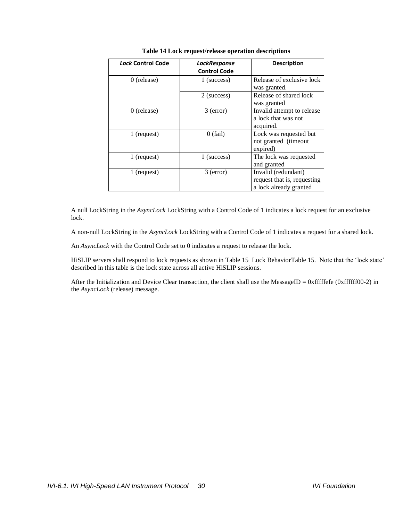<span id="page-29-0"></span>

| Lock Control Code | LockResponse<br><b>Control Code</b> | <b>Description</b>                                                           |
|-------------------|-------------------------------------|------------------------------------------------------------------------------|
| $0$ (release)     | 1 (success)                         | Release of exclusive lock<br>was granted.                                    |
|                   | 2 (success)                         | Release of shared lock<br>was granted                                        |
| $0$ (release)     | $3$ (error)                         | Invalid attempt to release<br>a lock that was not<br>acquired.               |
| 1 (request)       | $0$ (fail)                          | Lock was requested but<br>not granted (timeout<br>expired)                   |
| 1 (request)       | 1 (success)                         | The lock was requested<br>and granted                                        |
| 1 (request)       | $3$ (error)                         | Invalid (redundant)<br>request that is, requesting<br>a lock already granted |

#### **Table 14 Lock request/release operation descriptions**

A null LockString in the *AsyncLock* LockString with a Control Code of 1 indicates a lock request for an exclusive lock.

A non-null LockString in the *AsyncLock* LockString with a Control Code of 1 indicates a request for a shared lock.

An *AsyncLock* with the Control Code set to 0 indicates a request to release the lock.

HiSLIP servers shall respond to lock requests as shown in [Table 15 Lock BehaviorTable 15.](#page-30-0) Note that the "lock state" described in this table is the lock state across all active HiSLIP sessions.

After the Initialization and Device Clear transaction, the client shall use the MessageID = 0xfffffefe (0xffffff00-2) in the *AsyncLock* (release) message.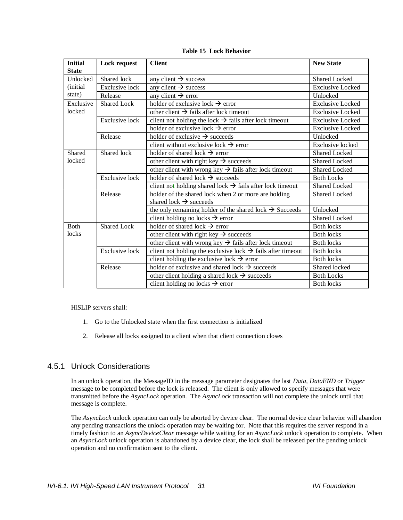**Table 15 Lock Behavior**

<span id="page-30-0"></span>

| <b>Initial</b> | <b>Lock request</b>   | <b>Client</b>                                                           | <b>New State</b>        |
|----------------|-----------------------|-------------------------------------------------------------------------|-------------------------|
| <b>State</b>   |                       |                                                                         |                         |
| Unlocked       | Shared lock           | any client $\rightarrow$ success                                        | Shared Locked           |
| (initial)      | <b>Exclusive lock</b> | any client $\rightarrow$ success                                        | <b>Exclusive Locked</b> |
| state)         | Release               | any client $\rightarrow$ error                                          | Unlocked                |
| Exclusive      | <b>Shared Lock</b>    | holder of exclusive lock $\rightarrow$ error                            | <b>Exclusive Locked</b> |
| locked         |                       | other client $\rightarrow$ fails after lock timeout                     | <b>Exclusive Locked</b> |
|                | <b>Exclusive lock</b> | client not holding the lock $\rightarrow$ fails after lock timeout      | <b>Exclusive Locked</b> |
|                |                       | holder of exclusive lock $\rightarrow$ error                            | <b>Exclusive Locked</b> |
|                | Release               | holder of exclusive $\rightarrow$ succeeds                              | Unlocked                |
|                |                       | client without exclusive lock $\rightarrow$ error                       | <b>Exclusive</b> locked |
| Shared         | Shared lock           | holder of shared lock $\rightarrow$ error                               | Shared Locked           |
| locked         |                       | other client with right key $\rightarrow$ succeeds                      | <b>Shared Locked</b>    |
|                |                       | other client with wrong key $\rightarrow$ fails after lock timeout      | <b>Shared Locked</b>    |
|                | <b>Exclusive lock</b> | holder of shared lock $\rightarrow$ succeeds                            | <b>Both Locks</b>       |
|                |                       | client not holding shared lock $\rightarrow$ fails after lock timeout   | <b>Shared Locked</b>    |
|                | Release               | holder of the shared lock when 2 or more are holding                    | <b>Shared Locked</b>    |
|                |                       | shared lock $\rightarrow$ succeeds                                      |                         |
|                |                       | the only remaining holder of the shared lock $\rightarrow$ Succeeds     | Unlocked                |
|                |                       | client holding no locks $\rightarrow$ error                             | <b>Shared Locked</b>    |
| <b>Both</b>    | <b>Shared Lock</b>    | holder of shared lock $\rightarrow$ error                               | <b>Both locks</b>       |
| locks          |                       | other client with right key $\rightarrow$ succeeds                      | <b>Both locks</b>       |
|                |                       | other client with wrong key $\rightarrow$ fails after lock timeout      | <b>Both locks</b>       |
|                | <b>Exclusive lock</b> | client not holding the exclusive lock $\rightarrow$ fails after timeout | <b>Both locks</b>       |
|                |                       | client holding the exclusive lock $\rightarrow$ error                   | <b>Both locks</b>       |
|                | Release               | holder of exclusive and shared lock $\rightarrow$ succeeds              | Shared locked           |
|                |                       | other client holding a shared lock $\rightarrow$ succeeds               | <b>Both Locks</b>       |
|                |                       | client holding no locks $\rightarrow$ error                             | <b>Both locks</b>       |

HiSLIP servers shall:

- 1. Go to the Unlocked state when the first connection is initialized
- 2. Release all locks assigned to a client when that client connection closes

### 4.5.1 Unlock Considerations

In an unlock operation, the MessageID in the message parameter designates the last *Data, DataEND* or *Trigger*  message to be completed before the lock is released. The client is only allowed to specify messages that were transmitted before the *AsyncLock* operation. The *AsyncLock* transaction will not complete the unlock until that message is complete.

The *AsyncLock* unlock operation can only be aborted by device clear. The normal device clear behavior will abandon any pending transactions the unlock operation may be waiting for. Note that this requires the server respond in a timely fashion to an *AsyncDeviceClear* message while waiting for an *AsyncLock* unlock operation to complete. When an *AsyncLock* unlock operation is abandoned by a device clear, the lock shall be released per the pending unlock operation and no confirmation sent to the client.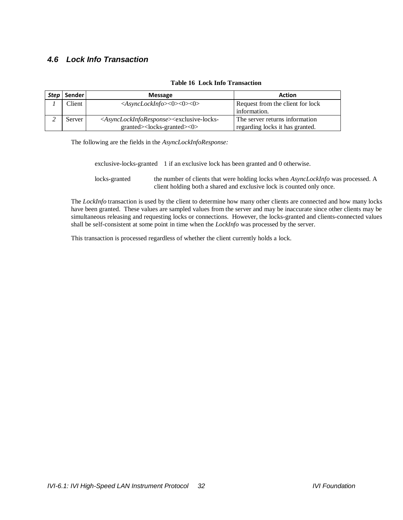## *4.6 Lock Info Transaction*

|--|

| Step | Sender | <b>Message</b>                                                                                                                      | Action                           |
|------|--------|-------------------------------------------------------------------------------------------------------------------------------------|----------------------------------|
|      | Client | $\langle AsyncLockInfo \rangle \langle 0 \rangle \langle 0 \rangle$                                                                 | Request from the client for lock |
|      |        |                                                                                                                                     | information.                     |
|      | Server | <asynclockinforesponse><exclusive-locks-< td=""><td>The server returns information</td></exclusive-locks-<></asynclockinforesponse> | The server returns information   |
|      |        | granted> <locks-granted>&lt;0&gt;</locks-granted>                                                                                   | regarding locks it has granted.  |

The following are the fields in the *AsyncLockInfoResponse:*

exclusive-locks-granted 1 if an exclusive lock has been granted and 0 otherwise.

locks-granted the number of clients that were holding locks when *AsyncLockInfo* was processed. A client holding both a shared and exclusive lock is counted only once.

The *LockInfo* transaction is used by the client to determine how many other clients are connected and how many locks have been granted. These values are sampled values from the server and may be inaccurate since other clients may be simultaneous releasing and requesting locks or connections. However, the locks-granted and clients-connected values shall be self-consistent at some point in time when the *LockInfo* was processed by the server.

This transaction is processed regardless of whether the client currently holds a lock.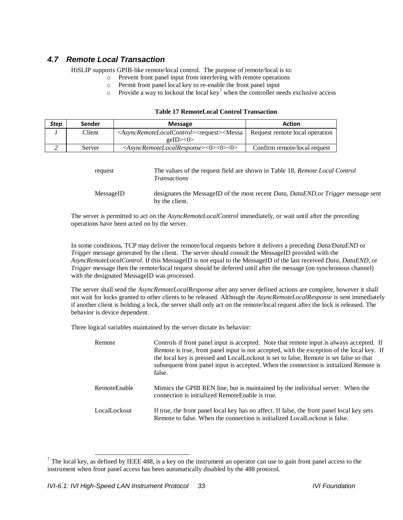## *4.7 Remote Local Transaction*

HiSLIP supports GPIB-like remote/local control. The purpose of remote/local is to:

- o Prevent front panel input from interfering with remote operations
- o Permit front panel local key to re-enable the front panel input
- $\circ$  Provide a way to lockout the local key<sup>7</sup> when the controller needs exclusive access

#### **Table 17 RemoteLocal Control Transaction**

| Step | Sender | <b>Message</b>                                                                                                                       | <b>Action</b>                  |
|------|--------|--------------------------------------------------------------------------------------------------------------------------------------|--------------------------------|
|      | Client | <asyncremotelocalcontrol><request><messa< td=""><td>Request remote local operation</td></messa<></request></asyncremotelocalcontrol> | Request remote local operation |
|      |        | geID><0>                                                                                                                             |                                |
|      | Server | $\langle AsvncRemoteLocalResponse \rangle \langle 0 \rangle \langle 0 \rangle$                                                       | Confirm remote/local request   |

| request   | The values of the request field are shown in Table 18, Remote Local Control<br><i>Transactions</i>                  |
|-----------|---------------------------------------------------------------------------------------------------------------------|
| MessageID | designates the MessageID of the most recent <i>Data, DataEND</i> , or <i>Trigger</i> message sent<br>by the client. |

The server is permitted to act on the *AsyncRemoteLocalControl* immediately, or wait until after the preceding operations have been acted on by the server.

In some conditions, TCP may deliver the remote/local requests before it delivers a preceding *Data/DataEND* or *Trigger* message generated by the client. The server should consult the MessageID provided with the *AsyncRemoteLocalControl*. If this MessageID is not equal to the MessageID of the last received *Data*, *DataEND*, or *Trigger* message then the remote/local request should be deferred until after the message (on synchronous channel) with the designated MessageID was processed.

The server shall send the *AsyncRemoteLocalResponse* after any server defined actions are complete, however it shall not wait for locks granted to other clients to be released. Although the *AsyncRemoteLocalResponse* is sent immediately if another client is holding a lock, the server shall only act on the remote/local request after the lock is released. The behavior is device dependent.

Three logical variables maintained by the server dictate its behavior:

| Remote       | Controls if front panel input is accepted. Note that remote input is always accepted. If<br>Remote is true, front panel input is not accepted, with the exception of the local key. If<br>the local key is pressed and LocalLockout is set to false, Remote is set false so that<br>subsequent front panel input is accepted. When the connection is initialized Remote is<br>false. |
|--------------|--------------------------------------------------------------------------------------------------------------------------------------------------------------------------------------------------------------------------------------------------------------------------------------------------------------------------------------------------------------------------------------|
| RemoteEnable | Mimics the GPIB REN line, but is maintained by the individual server. When the<br>connection is initialized RemoteEnable is true.                                                                                                                                                                                                                                                    |
| LocalLockout | If true, the front panel local key has no affect. If false, the front panel local key sets<br>Remote to false. When the connection is initialized LocalLockout is false.                                                                                                                                                                                                             |

 $<sup>7</sup>$  The local key, as defined by IEEE 488, is a key on the instrument an operator can use to gain front panel access to the</sup> instrument when front panel access has been automatically disabled by the 488 protocol.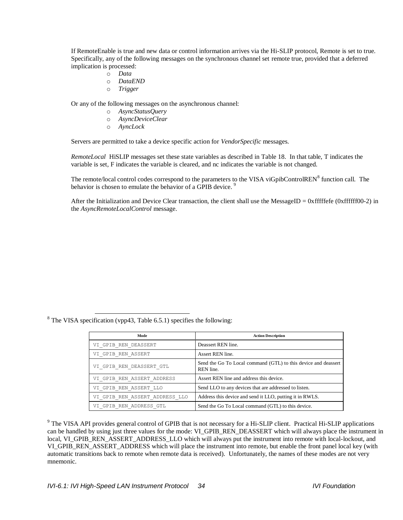If RemoteEnable is true and new data or control information arrives via the Hi-SLIP protocol, Remote is set to true. Specifically, any of the following messages on the synchronous channel set remote true, provided that a deferred implication is processed:

- o *Data*
- o *DataEND*
- o *Trigger*

Or any of the following messages on the asynchronous channel:

- o *AsyncStatusQuery*
- o *AsyncDeviceClear*
- o *AyncLock*

Servers are permitted to take a device specific action for *VendorSpecific* messages.

*RemoteLocal* HiSLIP messages set these state variables as described in [Table 18.](#page-34-0) In that table, T indicates the variable is set, F indicates the variable is cleared, and nc indicates the variable is not changed.

The remote/local control codes correspond to the parameters to the VISA viGpibControlREN<sup>8</sup> function call. The behavior is chosen to emulate the behavior of a GPIB device.<sup>9</sup>

After the Initialization and Device Clear transaction, the client shall use the MessageID =  $0x$  fffffefe (0xffffff00-2) in the *AsyncRemoteLocalControl* message.

<sup>8</sup> The VISA specification (vpp43, Table 6.5.1) specifies the following:

 $\overline{\phantom{a}}$ 

| Mode                           | <b>Action Description</b>                                                   |
|--------------------------------|-----------------------------------------------------------------------------|
| VI GPIB REN DEASSERT           | Deassert REN line.                                                          |
| VI GPIB REN ASSERT             | Assert REN line.                                                            |
| VI GPIB REN DEASSERT GTL       | Send the Go To Local command (GTL) to this device and deassert<br>REN line. |
| VI GPIB REN ASSERT ADDRESS     | Assert REN line and address this device.                                    |
| VI GPIB REN ASSERT LLO         | Send LLO to any devices that are addressed to listen.                       |
| VI GPIB REN ASSERT ADDRESS LLO | Address this device and send it LLO, putting it in RWLS.                    |
| VI GPIB REN ADDRESS GTL        | Send the Go To Local command (GTL) to this device.                          |

<sup>9</sup> The VISA API provides general control of GPIB that is not necessary for a Hi-SLIP client. Practical Hi-SLIP applications can be handled by using just three values for the mode: VI\_GPIB\_REN\_DEASSERT which will always place the instrument in local, VI\_GPIB\_REN\_ASSERT\_ADDRESS\_LLO which will always put the instrument into remote with local-lockout, and VI\_GPIB\_REN\_ASSERT\_ADDRESS which will place the instrument into remote, but enable the front panel local key (with automatic transitions back to remote when remote data is received). Unfortunately, the names of these modes are not very mnemonic.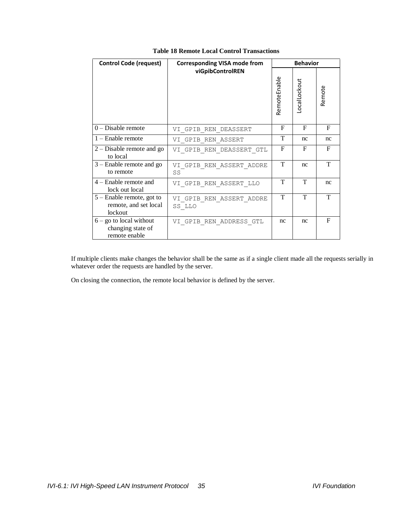<span id="page-34-0"></span>

| <b>Control Code (request)</b>                                   | <b>Corresponding VISA mode from</b> | <b>Behavior</b> |              |              |
|-----------------------------------------------------------------|-------------------------------------|-----------------|--------------|--------------|
|                                                                 | viGpibControlREN                    | RemoteEnable    | LocalLockout | Remote       |
| $0$ – Disable remote                                            | VI GPIB REN DEASSERT                | F               | F            | $\mathbf{F}$ |
| $1 -$ Enable remote                                             | VI GPIB REN ASSERT                  | T               | nc           | nc           |
| $2 - Disable$ remote and go<br>to local                         | VI GPIB REN DEASSERT GTL            | F               | F            | F            |
| $3$ – Enable remote and go<br>to remote                         | VI GPIB REN ASSERT ADDRE<br>SS      | T               | nc           | T            |
| $4$ – Enable remote and<br>lock out local                       | VI GPIB REN ASSERT LLO              | T               | T            | nc           |
| $5$ – Enable remote, got to<br>remote, and set local<br>lockout | VI GPIB REN ASSERT ADDRE<br>SS LLO  | т               | т            | T            |
| $6 -$ go to local without<br>changing state of<br>remote enable | VI GPIB REN ADDRESS GTL             | nc              | nc           | F            |

#### <span id="page-34-1"></span>**Table 18 Remote Local Control Transactions**

If multiple clients make changes the behavior shall be the same as if a single client made all the requests serially in whatever order the requests are handled by the server.

On closing the connection, the remote local behavior is defined by the server.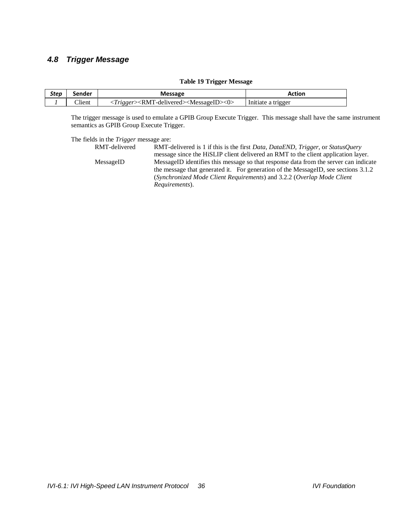## *4.8 Trigger Message*

#### **Table 19 Trigger Message**

| Step | Sender | <b>Message</b>                                                                                             | Action             |
|------|--------|------------------------------------------------------------------------------------------------------------|--------------------|
|      | Client | $\langle Trigger \rangle \langle RMT\text{-}delivered \rangle \langle MessageID \rangle \langle 0 \rangle$ | Initiate a trigger |

The trigger message is used to emulate a GPIB Group Execute Trigger. This message shall have the same instrument semantics as GPIB Group Execute Trigger.

#### The fields in the *Trigger* message are:

| RMT-delivered | RMT-delivered is 1 if this is the first <i>Data, DataEND</i> , <i>Trigger</i> , or <i>StatusOuery</i> |  |  |
|---------------|-------------------------------------------------------------------------------------------------------|--|--|
|               | message since the HiSLIP client delivered an RMT to the client application layer.                     |  |  |
| MessageID     | MessageID identifies this message so that response data from the server can indicate                  |  |  |
|               | the message that generated it. For generation of the MessageID, see sections 3.1.2                    |  |  |
|               | (Synchronized Mode Client Requirements) and 3.2.2 (Overlap Mode Client)                               |  |  |
|               | <i>Requirements</i> ).                                                                                |  |  |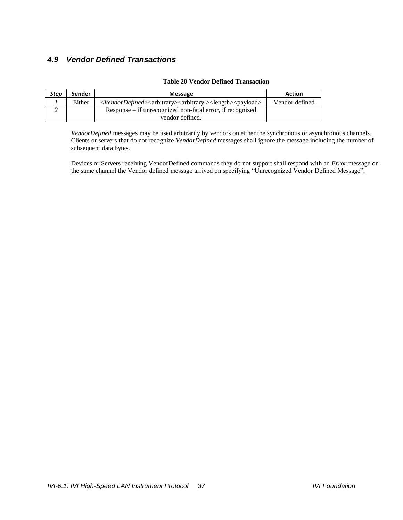## *4.9 Vendor Defined Transactions*

| <b>Step</b> | Sender | <b>Message</b>                                                                                                | Action         |
|-------------|--------|---------------------------------------------------------------------------------------------------------------|----------------|
|             | Either | < <i>VendorDefined&gt;</i> <arbitrary><arbitrary><length><payload></payload></length></arbitrary></arbitrary> | Vendor defined |
|             |        | Response – if unrecognized non-fatal error, if recognized                                                     |                |
|             |        | vendor defined.                                                                                               |                |

#### **Table 20 Vendor Defined Transaction**

*VendorDefined* messages may be used arbitrarily by vendors on either the synchronous or asynchronous channels. Clients or servers that do not recognize *VendorDefined* messages shall ignore the message including the number of subsequent data bytes.

Devices or Servers receiving VendorDefined commands they do not support shall respond with an *Error* message on the same channel the Vendor defined message arrived on specifying "Unrecognized Vendor Defined Message".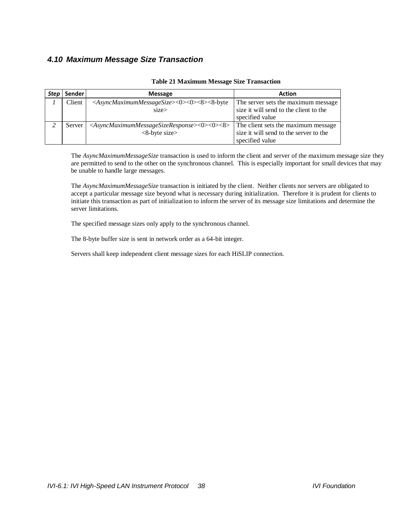## <span id="page-37-0"></span>*4.10 Maximum Message Size Transaction*

| Step | Sender | <b>Message</b>                                                                                 | <b>Action</b>                          |
|------|--------|------------------------------------------------------------------------------------------------|----------------------------------------|
|      | Client | <asyncmaximummessagesize>&lt;0&gt;&lt;0&gt;&lt;8&gt;&lt;8-byte</asyncmaximummessagesize>       | The server sets the maximum message    |
|      |        | $size\$                                                                                        | size it will send to the client to the |
|      |        |                                                                                                | specified value                        |
|      | Server | <asyncmaximummessagesizeresponse>&lt;0&gt;&lt;0&gt;&lt;8&gt;</asyncmaximummessagesizeresponse> | The client sets the maximum message    |
|      |        | $<8$ -byte size $>$                                                                            | size it will send to the server to the |
|      |        |                                                                                                | specified value                        |

#### **Table 21 Maximum Message Size Transaction**

The *AsyncMaximumMessageSize* transaction is used to inform the client and server of the maximum message size they are permitted to send to the other on the synchronous channel. This is especially important for small devices that may be unable to handle large messages.

The *AsyncMaximumMessageSize* transaction is initiated by the client. Neither clients nor servers are obligated to accept a particular message size beyond what is necessary during initialization. Therefore it is prudent for clients to initiate this transaction as part of initialization to inform the server of its message size limitations and determine the server limitations.

The specified message sizes only apply to the synchronous channel.

The 8-byte buffer size is sent in network order as a 64-bit integer.

Servers shall keep independent client message sizes for each HiSLIP connection.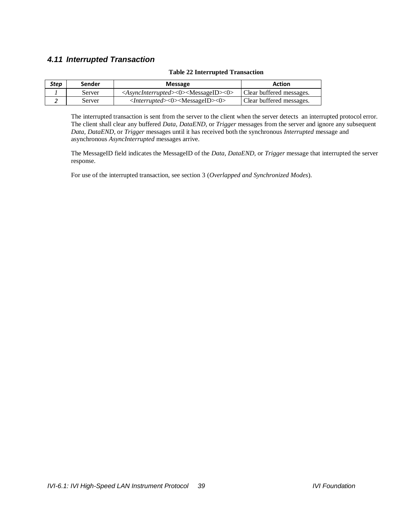## *4.11 Interrupted Transaction*

#### **Table 22 Interrupted Transaction**

| Step | Sender | <b>Message</b>                                                                  | Action                   |
|------|--------|---------------------------------------------------------------------------------|--------------------------|
|      | Server | <asyncinterrupted>&lt;0&gt;<messageid>&lt;0&gt;</messageid></asyncinterrupted>  | Clear buffered messages. |
|      | Server | $\langle$ <i>Interrupted&gt;</i> $\langle$ 0> $\langle$ MessageID> $\langle$ 0> | Clear buffered messages. |

The interrupted transaction is sent from the server to the client when the server detects an interrupted protocol error. The client shall clear any buffered *Data, DataEND,* or *Trigger* messages from the server and ignore any subsequent *Data, DataEND,* or *Trigger* messages until it has received both the synchronous *Interrupted* message and asynchronous *AsyncInterrupted* messages arrive.

The MessageID field indicates the MessageID of the *Data, DataEND,* or *Trigger* message that interrupted the server response.

For use of the interrupted transaction, see section [3](#page-16-0) (*[Overlapped and Synchronized Modes](#page-16-0)*).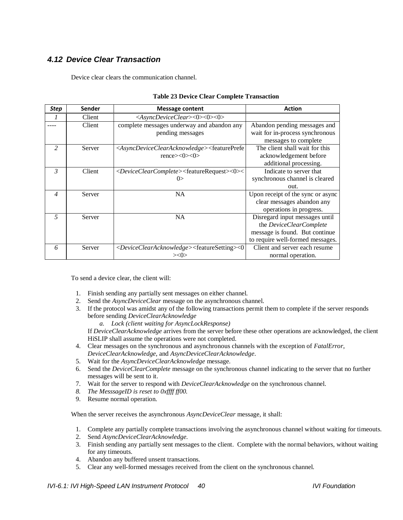## <span id="page-39-0"></span>*4.12 Device Clear Transaction*

Device clear clears the communication channel.

| <b>Step</b>    | <b>Sender</b> | <b>Message content</b>                                                                                                                  | <b>Action</b>                     |
|----------------|---------------|-----------------------------------------------------------------------------------------------------------------------------------------|-----------------------------------|
|                | Client        | $\langle AsyncDeviceClear \rangle \langle 0 \rangle \langle 0 \rangle$                                                                  |                                   |
|                | Client        | complete messages underway and abandon any                                                                                              | Abandon pending messages and      |
|                |               | pending messages                                                                                                                        | wait for in-process synchronous   |
|                |               |                                                                                                                                         | messages to complete              |
| 2              | Server        | <asyncdeviceclearacknowledge><featureprefe< td=""><td>The client shall wait for this</td></featureprefe<></asyncdeviceclearacknowledge> | The client shall wait for this    |
|                |               | $rence \ge 0 \ge 0$                                                                                                                     | acknowledgement before            |
|                |               |                                                                                                                                         | additional processing.            |
| $\mathcal{R}$  | Client        | <deviceclearcomplete><featurerequest>&lt;0&gt;&lt;</featurerequest></deviceclearcomplete>                                               | Indicate to server that           |
|                |               | 0>                                                                                                                                      | synchronous channel is cleared    |
|                |               |                                                                                                                                         | out.                              |
| $\overline{4}$ | Server        | <b>NA</b>                                                                                                                               | Upon receipt of the sync or async |
|                |               |                                                                                                                                         | clear messages abandon any        |
|                |               |                                                                                                                                         | operations in progress.           |
| 5              | Server        | <b>NA</b>                                                                                                                               | Disregard input messages until    |
|                |               |                                                                                                                                         | the DeviceClearComplete           |
|                |               |                                                                                                                                         | message is found. But continue    |
|                |               |                                                                                                                                         | to require well-formed messages.  |
| 6              | Server        | <deviceclearacknowledge><featuresetting>&lt;0</featuresetting></deviceclearacknowledge>                                                 | Client and server each resume     |
|                |               | $>\!\!<\!\!0\!\!>$                                                                                                                      | normal operation.                 |

#### **Table 23 Device Clear Complete Transaction**

To send a device clear, the client will:

- 1. Finish sending any partially sent messages on either channel.
- 2. Send the *AsyncDeviceClear* message on the asynchronous channel.
- 3. If the protocol was amidst any of the following transactions permit them to complete if the server responds before sending *DeviceClearAcknowledge*

*a. Lock (client waiting for AsyncLockResponse)*

If *DeviceClearAcknowledge* arrives from the server before these other operations are acknowledged, the client HiSLIP shall assume the operations were not completed.

- 4. Clear messages on the synchronous and asynchronous channels with the exception of *FatalError*, *DeviceClearAcknowledge*, and *AsyncDeviceClearAcknowledge*.
- 5. Wait for the *AsyncDeviceClearAcknowledge* message.
- 6. Send the *DeviceClearComplete* message on the synchronous channel indicating to the server that no further messages will be sent to it.
- 7. Wait for the server to respond with *DeviceClearAcknowledge* on the synchronous channel.
- *8. The MesssageID is reset to 0xffff ff00.*
- 9. Resume normal operation.

When the server receives the asynchronous *AsyncDeviceClear* message, it shall:

- 1. Complete any partially complete transactions involving the asynchronous channel without waiting for timeouts.
- 2. Send *AsyncDeviceClearAcknowledge.*
- 3. Finish sending any partially sent messages to the client. Complete with the normal behaviors, without waiting for any timeouts.
- 4. Abandon any buffered unsent transactions.
- 5. Clear any well-formed messages received from the client on the synchronous channel.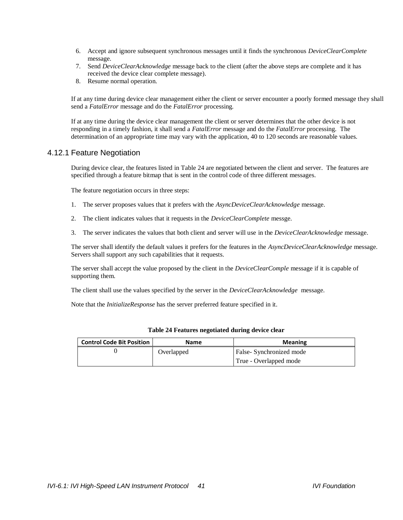- 6. Accept and ignore subsequent synchronous messages until it finds the synchronous *DeviceClearComplete* message.
- 7. Send *DeviceClearAcknowledge* message back to the client (after the above steps are complete and it has received the device clear complete message).
- 8. Resume normal operation.

If at any time during device clear management either the client or server encounter a poorly formed message they shall send a *FatalError* message and do the *FatalError* processing*.*

If at any time during the device clear management the client or server determines that the other device is not responding in a timely fashion, it shall send a *FatalError* message and do the *FatalError* processing. The determination of an appropriate time may vary with the application, 40 to 120 seconds are reasonable values.

#### 4.12.1 Feature Negotiation

During device clear, the features listed in [Table 24](#page-40-0) are negotiated between the client and server. The features are specified through a feature bitmap that is sent in the control code of three different messages.

The feature negotiation occurs in three steps:

- 1. The server proposes values that it prefers with the *AsyncDeviceClearAcknowledge* message.
- 2. The client indicates values that it requests in the *DeviceClearComplete* messge.
- 3. The server indicates the values that both client and server will use in the *DeviceClearAcknowledge* message.

The server shall identify the default values it prefers for the features in the *AsyncDeviceClearAcknowledge* message. Servers shall support any such capabilities that it requests.

The server shall accept the value proposed by the client in the *DeviceClearComple* message if it is capable of supporting them.

The client shall use the values specified by the server in the *DeviceClearAcknowledge* message.

<span id="page-40-0"></span>Note that the *InitializeResponse* has the server preferred feature specified in it.

| <b>Control Code Bit Position</b> | Name       | <b>Meaning</b>                                    |
|----------------------------------|------------|---------------------------------------------------|
|                                  | Overlapped | False-Synchronized mode<br>True - Overlapped mode |

#### **Table 24 Features negotiated during device clear**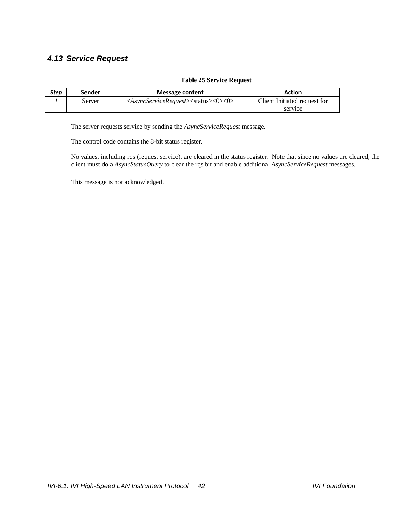## *4.13 Service Request*

#### **Table 25 Service Request**

| Step | Sender | Message content                                                                | <b>Action</b>                |
|------|--------|--------------------------------------------------------------------------------|------------------------------|
|      | Server | <asyncservicerequest><status>&lt;0&gt;&lt;0&gt;</status></asyncservicerequest> | Client Initiated request for |
|      |        |                                                                                | service                      |

The server requests service by sending the *AsyncServiceRequest* message.

The control code contains the 8-bit status register.

No values, including rqs (request service), are cleared in the status register. Note that since no values are cleared, the client must do a *AsyncStatusQuery* to clear the rqs bit and enable additional *AsyncServiceRequest* messages.

This message is not acknowledged.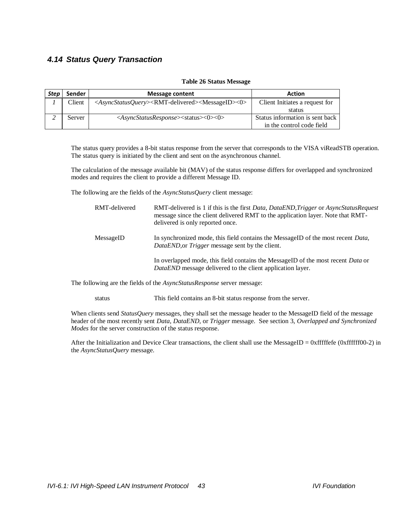## <span id="page-42-0"></span>*4.14 Status Query Transaction*

| Step | Sender | <b>Message content</b>                                                                               | <b>Action</b>                   |
|------|--------|------------------------------------------------------------------------------------------------------|---------------------------------|
|      | Client | <asyncstatusquery><rmt-delivered><messageid>&lt;0&gt;</messageid></rmt-delivered></asyncstatusquery> | Client Initiates a request for  |
|      |        |                                                                                                      | status                          |
|      | Server | <asyncstatusresponse><status>&lt;0&gt;&lt;0&gt;</status></asyncstatusresponse>                       | Status information is sent back |
|      |        |                                                                                                      | in the control code field       |

#### **Table 26 Status Message**

The status query provides a 8-bit status response from the server that corresponds to the VISA viReadSTB operation. The status query is initiated by the client and sent on the asynchronous channel.

The calculation of the message available bit (MAV) of the status response differs for overlapped and synchronized modes and requires the client to provide a different Message ID.

The following are the fields of the *AsyncStatusQuery* client message:

| RMT-delivered | RMT-delivered is 1 if this is the first Data, DataEND, Trigger or AsyncStatusRequest<br>message since the client delivered RMT to the application layer. Note that RMT-<br>delivered is only reported once. |
|---------------|-------------------------------------------------------------------------------------------------------------------------------------------------------------------------------------------------------------|
| MessageID     | In synchronized mode, this field contains the MessageID of the most recent <i>Data</i> ,<br><i>DataEND</i> , or <i>Trigger</i> message sent by the client.                                                  |
|               | In overlapped mode, this field contains the MessageID of the most recent <i>Data</i> or<br><i>DataEND</i> message delivered to the client application layer.                                                |

The following are the fields of the *AsyncStatusResponse* server message:

status This field contains an 8-bit status response from the server.

When clients send *StatusQuery* messages, they shall set the message header to the MessageID field of the message header of the most recently sent *Data, DataEND,* or *Trigger* message. See section [3,](#page-16-0) *[Overlapped and Synchronized](#page-16-0)  [Modes](#page-16-0)* for the server construction of the status response.

After the Initialization and Device Clear transactions, the client shall use the MessageID =  $0x$  fffffefe (0xffffff00-2) in the *AsyncStatusQuery* message.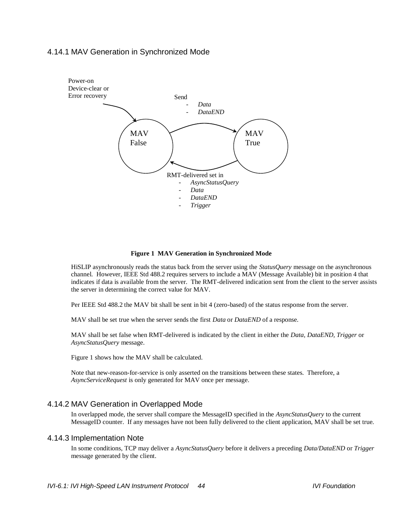### 4.14.1 MAV Generation in Synchronized Mode



#### **Figure 1 MAV Generation in Synchronized Mode**

HiSLIP asynchronously reads the status back from the server using the *StatusQuery* message on the asynchronous channel. However, IEEE Std 488.2 requires servers to include a MAV (Message Available) bit in position 4 that indicates if data is available from the server. The RMT-delivered indication sent from the client to the server assists the server in determining the correct value for MAV.

Per IEEE Std 488.2 the MAV bit shall be sent in bit 4 (zero-based) of the status response from the server.

MAV shall be set true when the server sends the first *Data* or *DataEND* of a response.

MAV shall be set false when RMT-delivered is indicated by the client in either the *Data, DataEND, Trigger* or *AsyncStatusQuery* message.

Figure 1 shows how the MAV shall be calculated.

Note that new-reason-for-service is only asserted on the transitions between these states. Therefore, a *AsyncServiceRequest* is only generated for MAV once per message.

#### <span id="page-43-0"></span>4.14.2 MAV Generation in Overlapped Mode

In overlapped mode, the server shall compare the MessageID specified in the *AsyncStatusQuery* to the current MessageID counter. If any messages have not been fully delivered to the client application, MAV shall be set true.

#### 4.14.3 Implementation Note

In some conditions, TCP may deliver a *AsyncStatusQuery* before it delivers a preceding *Data/DataEND* or *Trigger* message generated by the client.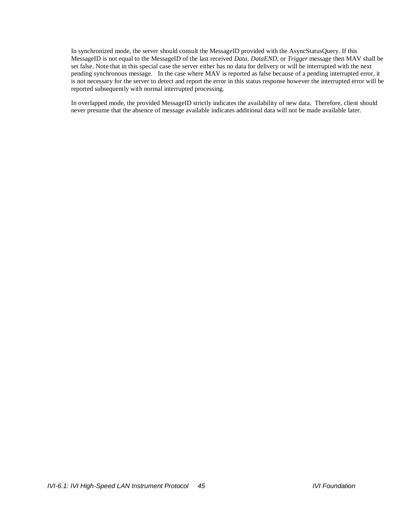In synchronized mode, the server should consult the MessageID provided with the AsyncStatusQuery. If this MessageID is not equal to the MessageID of the last received *Data*, *DataEND*, or *Trigger* message then MAV shall be set false. Note that in this special case the server either has no data for delivery or will be interrupted with the next pending synchronous message. In the case where MAV is reported as false because of a pending interrupted error, it is not necessary for the server to detect and report the error in this status response however the interrupted error will be reported subsequently with normal interrupted processing.

In overlapped mode, the provided MessageID strictly indicates the availability of new data. Therefore, client should never presume that the absence of message available indicates additional data will not be made available later.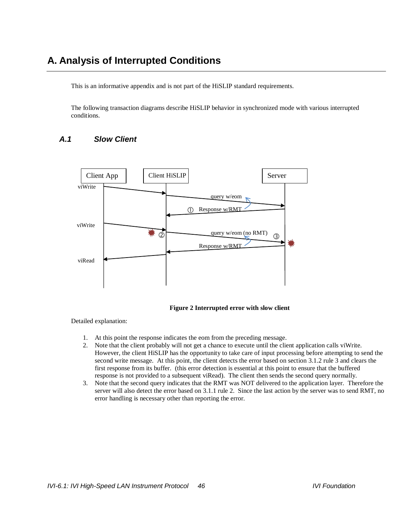## **A. Analysis of Interrupted Conditions**

This is an informative appendix and is not part of the HiSLIP standard requirements.

The following transaction diagrams describe HiSLIP behavior in synchronized mode with various interrupted conditions.

## *A.1 Slow Client*



**Figure 2 Interrupted error with slow client**

- 1. At this point the response indicates the eom from the preceding message.
- 2. Note that the client probably will not get a chance to execute until the client application calls viWrite. However, the client HiSLIP has the opportunity to take care of input processing before attempting to send the second write message. At this point, the client detects the error based on sectio[n 3.1.2](#page-17-1) rule [3](#page-18-1) and clears the first response from its buffer. (this error detection is essential at this point to ensure that the buffered response is not provided to a subsequent viRead). The client then sends the second query normally.
- 3. Note that the second query indicates that the RMT was NOT delivered to the application layer. Therefore the server will also detect the error based on [3.1.1](#page-17-2) rule [2.](#page-17-3) Since the last action by the server was to send RMT, no error handling is necessary other than reporting the error.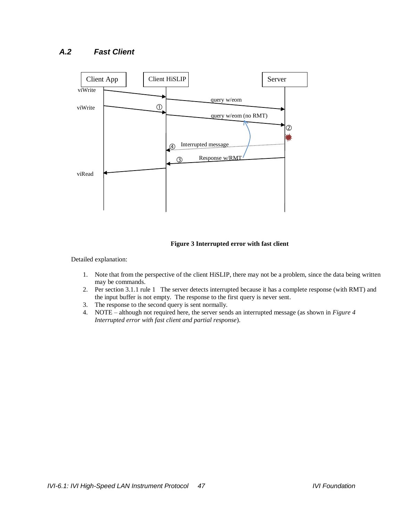## *A.2 Fast Client*



**Figure 3 Interrupted error with fast client** 

- 1. Note that from the perspective of the client HiSLIP, there may not be a problem, since the data being written may be commands.
- 2. Per sectio[n 3.1.1](#page-17-2) rule [1](#page-17-4) The server detects interrupted because it has a complete response (with RMT) and the input buffer is not empty. The response to the first query is never sent.
- 3. The response to the second query is sent normally.
- 4. NOTE although not required here, the server sends an interrupted message (as shown in *[Figure 4](#page-47-0) [Interrupted error with fast client and partial response](#page-47-0)*).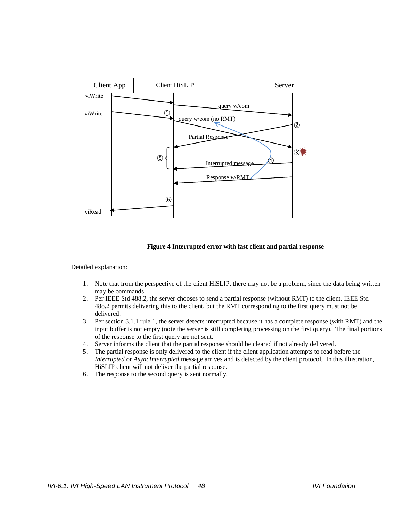

**Figure 4 Interrupted error with fast client and partial response**

- <span id="page-47-0"></span>1. Note that from the perspective of the client HiSLIP, there may not be a problem, since the data being written may be commands.
- 2. Per IEEE Std 488.2, the server chooses to send a partial response (without RMT) to the client. IEEE Std 488.2 permits delivering this to the client, but the RMT corresponding to the first query must not be delivered.
- 3. Per sectio[n 3.1.1](#page-17-2) rule [1,](#page-17-4) the server detects interrupted because it has a complete response (with RMT) and the input buffer is not empty (note the server is still completing processing on the first query). The final portions of the response to the first query are not sent.
- 4. Server informs the client that the partial response should be cleared if not already delivered.
- 5. The partial response is only delivered to the client if the client application attempts to read before the *Interrupted* or *AsyncInterrupted* message arrives and is detected by the client protocol. In this illustration, HiSLIP client will not deliver the partial response.
- 6. The response to the second query is sent normally.